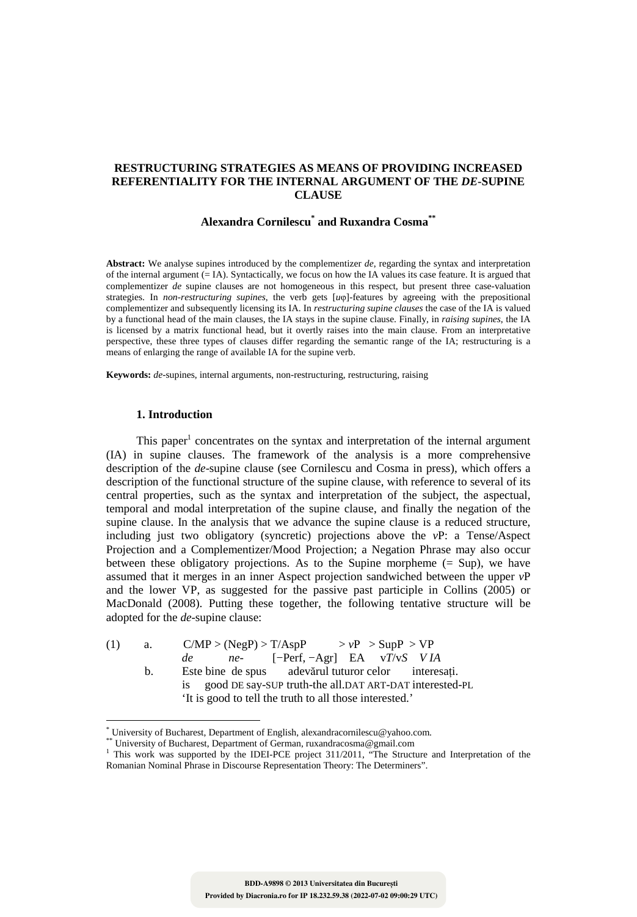# **RESTRUCTURING STRATEGIES AS MEANS OF PROVIDING INCREASED REFERENTIALITY FOR THE INTERNAL ARGUMENT OF THE** *DE***-SUPINE CLAUSE**

# **Alexandra Cornilescu\* and Ruxandra Cosma\*\***

**Abstract:** We analyse supines introduced by the complementizer *de*, regarding the syntax and interpretation of the internal argument  $\acute{(-}$  IA). Syntactically, we focus on how the IA values its case feature. It is argued that complementizer *de* supine clauses are not homogeneous in this respect, but present three case-valuation strategies. In *non-restructuring supines*, the verb gets [*u*φ]-features by agreeing with the prepositional complementizer and subsequently licensing its IA. In *restructuring supine clauses* the case of the IA is valued by a functional head of the main clauses, the IA stays in the supine clause. Finally, in *raising supines*, the IA is licensed by a matrix functional head, but it overtly raises into the main clause. From an interpretative perspective, these three types of clauses differ regarding the semantic range of the IA; restructuring is a means of enlarging the range of available IA for the supine verb.

**Keywords:** *de*-supines, internal arguments, non-restructuring, restructuring, raising

## **1. Introduction**

 $\overline{a}$ 

This paper<sup>1</sup> concentrates on the syntax and interpretation of the internal argument (IA) in supine clauses. The framework of the analysis is a more comprehensive description of the *de*-supine clause (see Cornilescu and Cosma in press), which offers a description of the functional structure of the supine clause, with reference to several of its central properties, such as the syntax and interpretation of the subject, the aspectual, temporal and modal interpretation of the supine clause, and finally the negation of the supine clause. In the analysis that we advance the supine clause is a reduced structure, including just two obligatory (syncretic) projections above the *v*P: a Tense/Aspect Projection and a Complementizer/Mood Projection; a Negation Phrase may also occur between these obligatory projections. As to the Supine morpheme  $(= Sup)$ , we have assumed that it merges in an inner Aspect projection sandwiched between the upper *v*P and the lower VP, as suggested for the passive past participle in Collins (2005) or MacDonald (2008). Putting these together, the following tentative structure will be adopted for the *de*-supine clause:

(1) a.  $C/MP > (NegP) > T/AspP \t\t > vP > SupP > VP$ *de ne-* [−Perf, −Agr] EA v*T*/v*S V IA*  b. Este bine de spus adevărul tuturor celor interesaţi. is good DE say-SUP truth-the all.DAT ART-DAT interested-PL 'It is good to tell the truth to all those interested.'

<sup>\*</sup> University of Bucharest, Department of English, alexandracornilescu@yahoo.com.

<sup>\*\*</sup> University of Bucharest, Department of German, ruxandracosma@gmail.com

<sup>&</sup>lt;sup>1</sup> This work was supported by the IDEI-PCE project 311/2011, "The Structure and Interpretation of the Romanian Nominal Phrase in Discourse Representation Theory: The Determiners".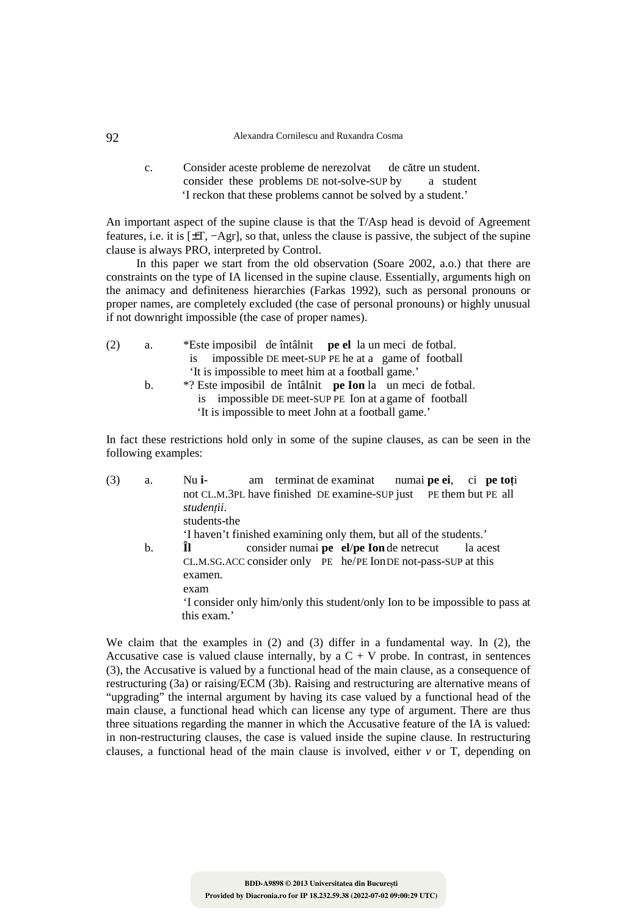#### 92 Alexandra Cornilescu and Ruxandra Cosma

c. Consider aceste probleme de nerezolvat de către un student.<br>
consider these problems DE not-solve-SUP by a student consider these problems DE not-solve-SUP by 'I reckon that these problems cannot be solved by a student.'

An important aspect of the supine clause is that the T/Asp head is devoid of Agreement features, i.e. it is [±T, −Agr], so that, unless the clause is passive, the subject of the supine clause is always PRO, interpreted by Control.

In this paper we start from the old observation (Soare 2002, a.o.) that there are constraints on the type of IA licensed in the supine clause. Essentially, arguments high on the animacy and definiteness hierarchies (Farkas 1992), such as personal pronouns or proper names, are completely excluded (the case of personal pronouns) or highly unusual if not downright impossible (the case of proper names).

| (2) | a. | *Este imposibil de întâlnit pe el la un meci de fotbal.               |
|-----|----|-----------------------------------------------------------------------|
|     |    | impossible DE meet-SUP PE he at a game of football<br>$\overline{1}S$ |
|     |    | 'It is impossible to meet him at a football game.'                    |
|     | b. | *? Este imposibil de întâlnit pe Ion la un meci de fotbal.            |
|     |    | is impossible DE meet-SUP PE Ion at a game of football                |
|     |    | 'It is impossible to meet John at a football game.'                   |
|     |    |                                                                       |

In fact these restrictions hold only in some of the supine clauses, as can be seen in the following examples:

| (3) | a. | am terminat de examinat<br>Nu i-<br>numai pe ei, ci pe toți                 |
|-----|----|-----------------------------------------------------------------------------|
|     |    | not CL.M.3PL have finished DE examine-SUP just PE them but PE all           |
|     |    | studenții.                                                                  |
|     |    | students-the                                                                |
|     |    | 'I haven't finished examining only them, but all of the students.'          |
|     | b. | consider numai pe el/pe Ion de netrecut<br>la acest                         |
|     |    | CL.M.SG.ACC consider only PE he/PE Ion DE not-pass-SUP at this<br>examen.   |
|     |    | exam                                                                        |
|     |    | 'I consider only him/only this student/only Ion to be impossible to pass at |
|     |    | this exam.'                                                                 |
|     |    |                                                                             |

We claim that the examples in (2) and (3) differ in a fundamental way. In (2), the Accusative case is valued clause internally, by a  $C + V$  probe. In contrast, in sentences (3), the Accusative is valued by a functional head of the main clause, as a consequence of restructuring (3a) or raising/ECM (3b). Raising and restructuring are alternative means of "upgrading" the internal argument by having its case valued by a functional head of the main clause, a functional head which can license any type of argument. There are thus three situations regarding the manner in which the Accusative feature of the IA is valued: in non-restructuring clauses, the case is valued inside the supine clause. In restructuring clauses, a functional head of the main clause is involved, either *v* or T, depending on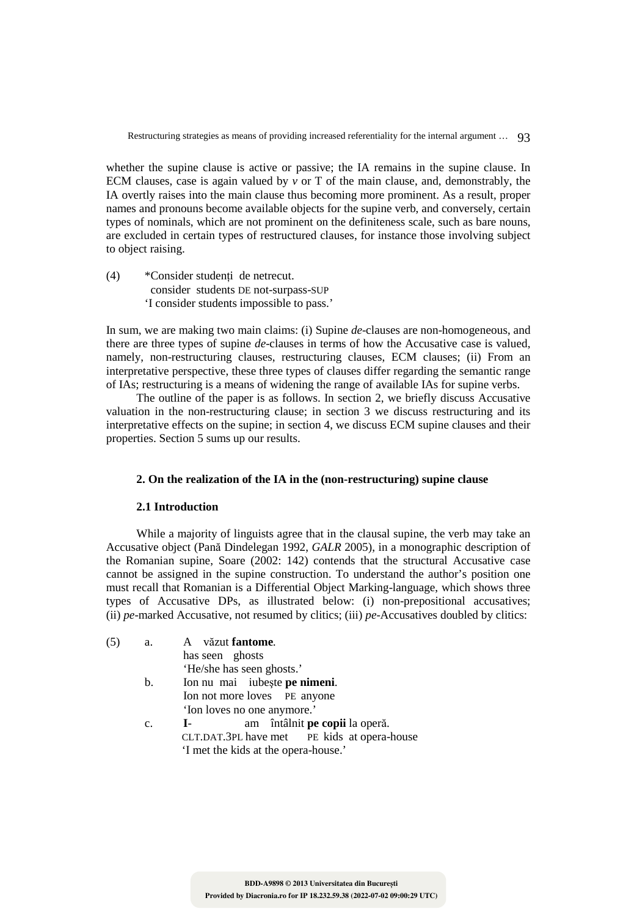whether the supine clause is active or passive; the IA remains in the supine clause. In ECM clauses, case is again valued by *v* or T of the main clause, and, demonstrably, the IA overtly raises into the main clause thus becoming more prominent. As a result, proper names and pronouns become available objects for the supine verb, and conversely, certain types of nominals, which are not prominent on the definiteness scale, such as bare nouns, are excluded in certain types of restructured clauses, for instance those involving subject to object raising.

(4) \*Consider studenţi de netrecut. consider students DE not-surpass-SUP 'I consider students impossible to pass.'

In sum, we are making two main claims: (i) Supine *de*-clauses are non-homogeneous, and there are three types of supine *de*-clauses in terms of how the Accusative case is valued, namely, non-restructuring clauses, restructuring clauses, ECM clauses; (ii) From an interpretative perspective, these three types of clauses differ regarding the semantic range of IAs; restructuring is a means of widening the range of available IAs for supine verbs.

The outline of the paper is as follows. In section 2, we briefly discuss Accusative valuation in the non-restructuring clause; in section 3 we discuss restructuring and its interpretative effects on the supine; in section 4, we discuss ECM supine clauses and their properties. Section 5 sums up our results.

## **2. On the realization of the IA in the (non-restructuring) supine clause**

## **2.1 Introduction**

While a majority of linguists agree that in the clausal supine, the verb may take an Accusative object (Pană Dindelegan 1992, *GALR* 2005), in a monographic description of the Romanian supine, Soare (2002: 142) contends that the structural Accusative case cannot be assigned in the supine construction. To understand the author's position one must recall that Romanian is a Differential Object Marking-language, which shows three types of Accusative DPs, as illustrated below: (i) non-prepositional accusatives; (ii) *pe*-marked Accusative, not resumed by clitics; (iii) *pe*-Accusatives doubled by clitics:

| (5) | a.      | A văzut fantome.                               |
|-----|---------|------------------------------------------------|
|     |         | has seen ghosts                                |
|     |         | 'He/she has seen ghosts.'                      |
|     | $b_{1}$ | Ion nu mai iubește pe nimeni.                  |
|     |         | Ion not more loves PE anyone                   |
|     |         | 'Ion loves no one anymore.'                    |
|     | c.      | am întâlnit pe copii la operă.<br>$\mathbf{I}$ |
|     |         | CLT.DAT.3PL have met PE kids at opera-house    |

'I met the kids at the opera-house.'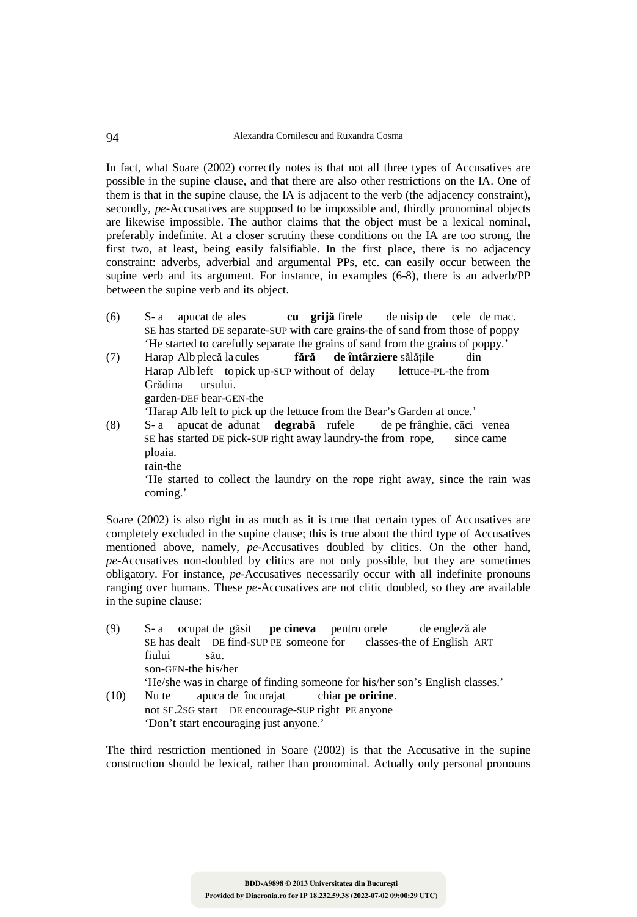In fact, what Soare (2002) correctly notes is that not all three types of Accusatives are possible in the supine clause, and that there are also other restrictions on the IA. One of them is that in the supine clause, the IA is adjacent to the verb (the adjacency constraint), secondly, *pe-*Accusatives are supposed to be impossible and, thirdly pronominal objects are likewise impossible. The author claims that the object must be a lexical nominal, preferably indefinite. At a closer scrutiny these conditions on the IA are too strong, the first two, at least, being easily falsifiable. In the first place, there is no adjacency constraint: adverbs, adverbial and argumental PPs, etc. can easily occur between the supine verb and its argument. For instance, in examples (6-8), there is an adverb/PP between the supine verb and its object.

- (6) S- a apucat de ales **cu grijă** firele de nisip de cele de mac. SE has started DE separate-SUP with care grains-the of sand from those of poppy 'He started to carefully separate the grains of sand from the grains of poppy.'
- (7) Harap Alb plecă la cules **fără de întârziere** sălăţile din Harap Alb left to pick up-SUP without of delay Grădina ursului. garden-DEF bear-GEN-the 'Harap Alb left to pick up the lettuce from the Bear's Garden at once.'
- (8) S- a apucat de adunat **degrabă** rufele de pe frânghie, căci venea SE has started DE pick-SUP right away laundry-the from rope, since came ploaia. rain-the

 'He started to collect the laundry on the rope right away, since the rain was coming.'

Soare (2002) is also right in as much as it is true that certain types of Accusatives are completely excluded in the supine clause; this is true about the third type of Accusatives mentioned above, namely, *pe*-Accusatives doubled by clitics. On the other hand, *pe*-Accusatives non-doubled by clitics are not only possible, but they are sometimes obligatory. For instance, *pe*-Accusatives necessarily occur with all indefinite pronouns ranging over humans. These *pe*-Accusatives are not clitic doubled, so they are available in the supine clause:

- (9) S- a ocupat de găsit **pe cineva** pentru orele de engleză ale SE has dealt DE find-SUP PE someone for classes-the of English ART fiului său. son-GEN-the his/her 'He/she was in charge of finding someone for his/her son's English classes.' (10) Nu te apuca de încurajat chiar **pe oricine**.
- not SE.2SG start DE encourage-SUP right PE anyone 'Don't start encouraging just anyone.'

The third restriction mentioned in Soare (2002) is that the Accusative in the supine construction should be lexical, rather than pronominal. Actually only personal pronouns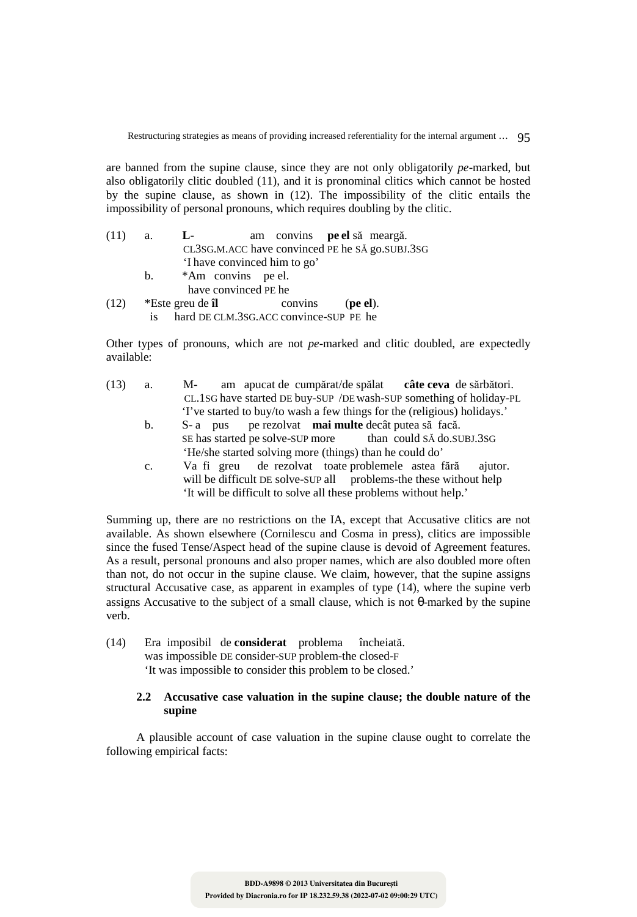are banned from the supine clause, since they are not only obligatorily *pe*-marked, but also obligatorily clitic doubled (11), and it is pronominal clitics which cannot be hosted by the supine clause, as shown in (12). The impossibility of the clitic entails the impossibility of personal pronouns, which requires doubling by the clitic.

| (11) | a.      | $L -$            |                              | am convins <b>pe el</b> să meargă.     |          |                                                 |
|------|---------|------------------|------------------------------|----------------------------------------|----------|-------------------------------------------------|
|      |         |                  |                              |                                        |          | CL3SG.M.ACC have convinced PE he SĂ go.SUBJ.3SG |
|      |         |                  | 'I have convinced him to go' |                                        |          |                                                 |
|      | $b_{1}$ |                  | *Am convins pe el.           |                                        |          |                                                 |
|      |         |                  | have convinced PE he         |                                        |          |                                                 |
| (12) |         | *Este greu de îl |                              | convins                                | (pe el). |                                                 |
|      | 1S      |                  |                              | hard DE CLM.3SG.ACC convince-SUP PE he |          |                                                 |

Other types of pronouns, which are not *pe*-marked and clitic doubled, are expectedly available:

| (13) | а. | $M -$ |  | am apucat de cumpărat/de spălat                                          | câte ceva de sărbători.                                             |
|------|----|-------|--|--------------------------------------------------------------------------|---------------------------------------------------------------------|
|      |    |       |  |                                                                          | CL.1SG have started DE buy-SUP /DE wash-SUP something of holiday-PL |
|      |    |       |  | 'I've started to buy/to wash a few things for the (religious) holidays.' |                                                                     |

- b. S- a pus pe rezolvat **mai multe** decât putea să facă.<br>SE has started pe solve-SUP more than could SA do.SUBJ.3SG SE has started pe solve-SUP more 'He/she started solving more (things) than he could do'
- c. Va fi greu de rezolvat toate problemele astea fără ajutor. will be difficult DE solve-SUP all problems-the these without help 'It will be difficult to solve all these problems without help.'

Summing up, there are no restrictions on the IA, except that Accusative clitics are not available. As shown elsewhere (Cornilescu and Cosma in press), clitics are impossible since the fused Tense/Aspect head of the supine clause is devoid of Agreement features. As a result, personal pronouns and also proper names, which are also doubled more often than not, do not occur in the supine clause. We claim, however, that the supine assigns structural Accusative case, as apparent in examples of type (14), where the supine verb assigns Accusative to the subject of a small clause, which is not θ-marked by the supine verb.

(14) Era imposibil de **considerat** problema încheiată. was impossible DE consider-SUP problem-the closed-F 'It was impossible to consider this problem to be closed.'

# **2.2 Accusative case valuation in the supine clause; the double nature of the supine**

A plausible account of case valuation in the supine clause ought to correlate the following empirical facts: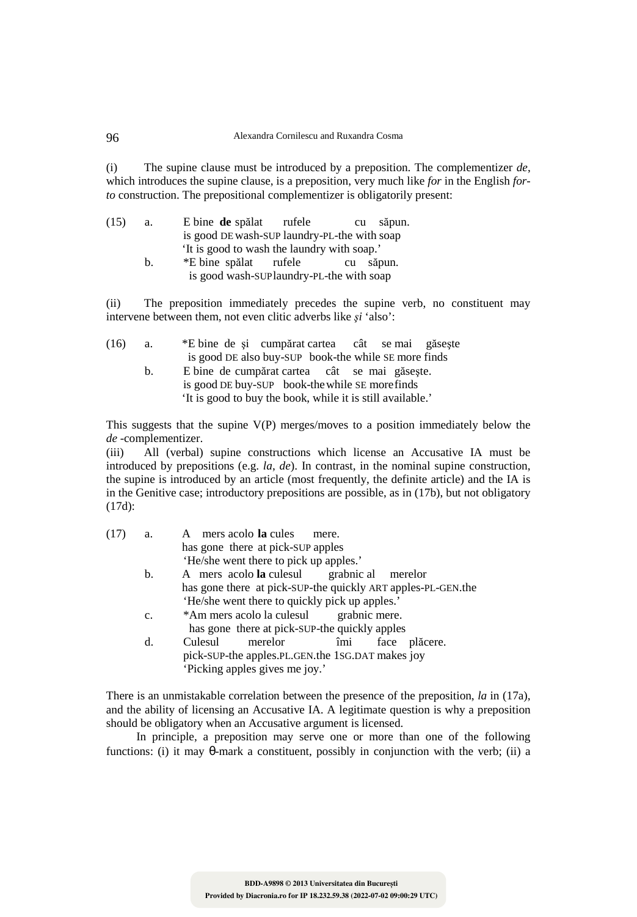(i) The supine clause must be introduced by a preposition. The complementizer *de*, which introduces the supine clause, is a preposition, very much like *for* in the English *forto* construction. The prepositional complementizer is obligatorily present:

| (15) | a. | E bine de spălat rufele                      | cu | săpun. |
|------|----|----------------------------------------------|----|--------|
|      |    | is good DE wash-SUP laundry-PL-the with soap |    |        |
|      |    | 'It is good to wash the laundry with soap.'  |    |        |
|      | b. | *E bine spălat rufele                        | cu | săpun. |
|      |    | is good wash-SUPlaundry-PL-the with soap     |    |        |

(ii) The preposition immediately precedes the supine verb, no constituent may intervene between them, not even clitic adverbs like *şi* 'also':

| (16) | a.      | *E bine de și cumpărat cartea cât se mai găsește           |
|------|---------|------------------------------------------------------------|
|      |         | is good DE also buy-SUP book-the while SE more finds       |
|      | $b_{1}$ | E bine de cumpărat cartea cât se mai găsește.              |
|      |         | is good DE buy-SUP book-the while SE more finds            |
|      |         | 'It is good to buy the book, while it is still available.' |

This suggests that the supine V(P) merges/moves to a position immediately below the *de* -complementizer.

(iii) All (verbal) supine constructions which license an Accusative IA must be introduced by prepositions (e.g. *la*, *de*). In contrast, in the nominal supine construction, the supine is introduced by an article (most frequently, the definite article) and the IA is in the Genitive case; introductory prepositions are possible, as in (17b), but not obligatory (17d):

| (17) | a. | mers acolo la cules<br>A<br>mere.                            |
|------|----|--------------------------------------------------------------|
|      |    | has gone there at pick-SUP apples                            |
|      |    | 'He/she went there to pick up apples.'                       |
|      | b. | A mers acolo la culesul grabnic al merelor                   |
|      |    | has gone there at pick-SUP-the quickly ART apples-PL-GEN.the |
|      |    | 'He/she went there to quickly pick up apples.'               |
|      | c. | *Am mers acolo la culesul grabnic mere.                      |
|      |    | has gone there at pick-SUP-the quickly apples                |
|      | d. | îmi<br>merelor<br>Culesul<br>face plăcere.                   |
|      |    | pick-SUP-the apples.PL.GEN.the 1SG.DAT makes joy             |
|      |    | 'Picking apples gives me joy.'                               |

There is an unmistakable correlation between the presence of the preposition, *la* in (17a), and the ability of licensing an Accusative IA. A legitimate question is why a preposition should be obligatory when an Accusative argument is licensed.

In principle, a preposition may serve one or more than one of the following functions: (i) it may  $\theta$ -mark a constituent, possibly in conjunction with the verb; (ii) a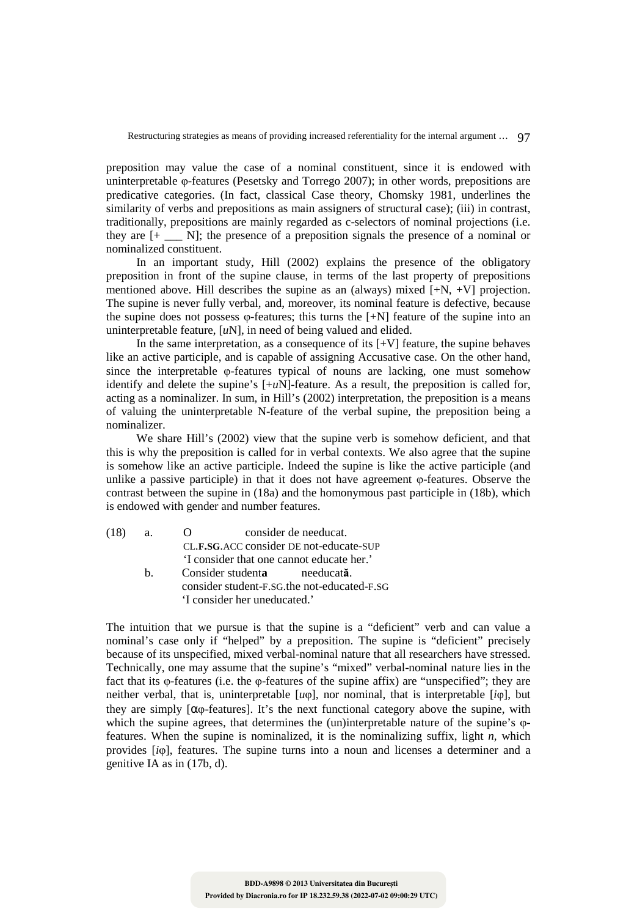preposition may value the case of a nominal constituent, since it is endowed with uninterpretable φ-features (Pesetsky and Torrego 2007); in other words, prepositions are predicative categories. (In fact, classical Case theory, Chomsky 1981, underlines the similarity of verbs and prepositions as main assigners of structural case); (iii) in contrast, traditionally, prepositions are mainly regarded as c-selectors of nominal projections (i.e. they are  $[+ \underline{\hspace{1cm}} N]$ ; the presence of a preposition signals the presence of a nominal or nominalized constituent.

In an important study, Hill (2002) explains the presence of the obligatory preposition in front of the supine clause, in terms of the last property of prepositions mentioned above. Hill describes the supine as an (always) mixed [+N, +V] projection. The supine is never fully verbal, and, moreover, its nominal feature is defective, because the supine does not possess φ-features; this turns the [+N] feature of the supine into an uninterpretable feature, [*u*N], in need of being valued and elided.

In the same interpretation, as a consequence of its  $[+V]$  feature, the supine behaves like an active participle, and is capable of assigning Accusative case. On the other hand, since the interpretable φ-features typical of nouns are lacking, one must somehow identify and delete the supine's  $[+uN]$ -feature. As a result, the preposition is called for, acting as a nominalizer. In sum, in Hill's (2002) interpretation, the preposition is a means of valuing the uninterpretable N-feature of the verbal supine, the preposition being a nominalizer.

We share Hill's (2002) view that the supine verb is somehow deficient, and that this is why the preposition is called for in verbal contexts. We also agree that the supine is somehow like an active participle. Indeed the supine is like the active participle (and unlike a passive participle) in that it does not have agreement  $\varphi$ -features. Observe the contrast between the supine in (18a) and the homonymous past participle in (18b), which is endowed with gender and number features.

| (18) | <b>a.</b> | consider de needucat.                       |
|------|-----------|---------------------------------------------|
|      |           | CL.F.SG.ACC consider DE not-educate-SUP     |
|      |           | 'I consider that one cannot educate her.'   |
|      | h —       | Consider studenta energia needucată.        |
|      |           | consider student-F.SG.the not-educated-F.SG |
|      |           | 'I consider her uneducated.'                |

The intuition that we pursue is that the supine is a "deficient" verb and can value a nominal's case only if "helped" by a preposition. The supine is "deficient" precisely because of its unspecified, mixed verbal-nominal nature that all researchers have stressed. Technically, one may assume that the supine's "mixed" verbal-nominal nature lies in the fact that its φ-features (i.e. the φ-features of the supine affix) are "unspecified"; they are neither verbal, that is, uninterpretable [*u*φ], nor nominal, that is interpretable [*i*φ], but they are simply  $\alpha_{\theta}$ -features]. It's the next functional category above the supine, with which the supine agrees, that determines the (un)interpretable nature of the supine's φfeatures. When the supine is nominalized, it is the nominalizing suffix, light *n,* which provides [*i*φ], features. The supine turns into a noun and licenses a determiner and a genitive IA as in (17b, d).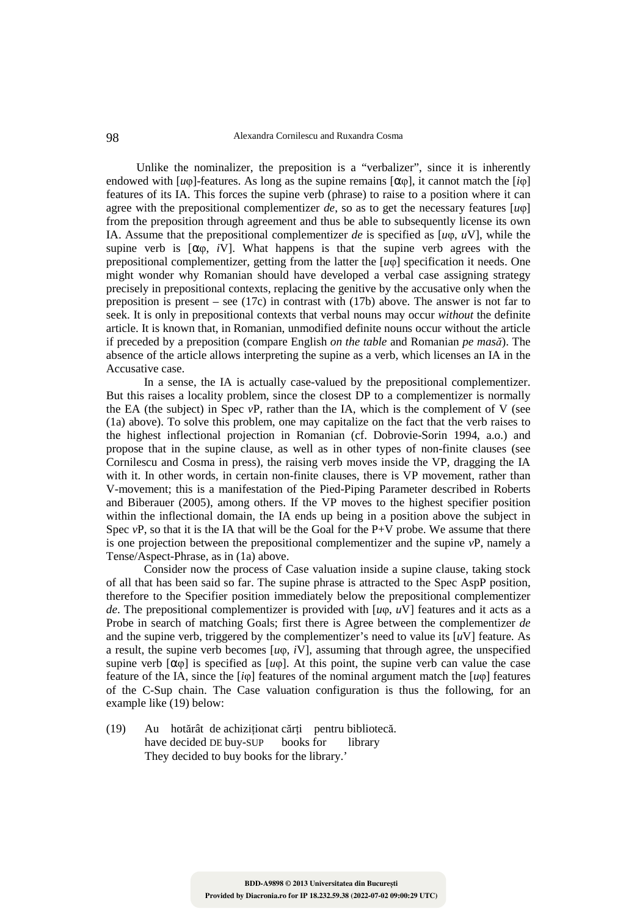#### 98 Alexandra Cornilescu and Ruxandra Cosma

Unlike the nominalizer, the preposition is a "verbalizer", since it is inherently endowed with  $[u\varphi]$ -features. As long as the supine remains  $[\alpha\varphi]$ , it cannot match the  $[i\varphi]$ features of its IA. This forces the supine verb (phrase) to raise to a position where it can agree with the prepositional complementizer *de*, so as to get the necessary features [*u*φ] from the preposition through agreement and thus be able to subsequently license its own IA. Assume that the prepositional complementizer *de* is specified as  $[u\varphi, uV]$ , while the supine verb is  $[\alpha \varphi, iV]$ . What happens is that the supine verb agrees with the prepositional complementizer, getting from the latter the [*u*φ] specification it needs. One might wonder why Romanian should have developed a verbal case assigning strategy precisely in prepositional contexts, replacing the genitive by the accusative only when the preposition is present – see (17c) in contrast with (17b) above. The answer is not far to seek. It is only in prepositional contexts that verbal nouns may occur *without* the definite article. It is known that, in Romanian, unmodified definite nouns occur without the article if preceded by a preposition (compare English *on the table* and Romanian *pe masă*). The absence of the article allows interpreting the supine as a verb, which licenses an IA in the Accusative case.

 In a sense, the IA is actually case-valued by the prepositional complementizer. But this raises a locality problem, since the closest DP to a complementizer is normally the EA (the subject) in Spec *v*P, rather than the IA, which is the complement of V (see (1a) above). To solve this problem, one may capitalize on the fact that the verb raises to the highest inflectional projection in Romanian (cf. Dobrovie-Sorin 1994, a.o.) and propose that in the supine clause, as well as in other types of non-finite clauses (see Cornilescu and Cosma in press), the raising verb moves inside the VP, dragging the IA with it. In other words, in certain non-finite clauses, there is VP movement, rather than V-movement; this is a manifestation of the Pied-Piping Parameter described in Roberts and Biberauer (2005), among others. If the VP moves to the highest specifier position within the inflectional domain, the IA ends up being in a position above the subject in Spec  $vP$ , so that it is the IA that will be the Goal for the P+V probe. We assume that there is one projection between the prepositional complementizer and the supine *v*P, namely a Tense/Aspect-Phrase, as in (1a) above.

 Consider now the process of Case valuation inside a supine clause, taking stock of all that has been said so far. The supine phrase is attracted to the Spec AspP position, therefore to the Specifier position immediately below the prepositional complementizer *de*. The prepositional complementizer is provided with [*u*φ, *u*V] features and it acts as a Probe in search of matching Goals; first there is Agree between the complementizer *de* and the supine verb, triggered by the complementizer's need to value its  $\overline{u}$ <sup>V</sup> $\overline{v}$  feature. As a result, the supine verb becomes  $[u\varphi, i\overline{V}]$ , assuming that through agree, the unspecified supine verb  $[\alpha\varphi]$  is specified as  $[\mu\varphi]$ . At this point, the supine verb can value the case feature of the IA, since the [*i*φ] features of the nominal argument match the [*u*φ] features of the C-Sup chain. The Case valuation configuration is thus the following, for an example like (19) below:

(19) Au hotărât de achiziţionat cărţi pentru bibliotecă. have decided DE buy-SUP books for library They decided to buy books for the library.'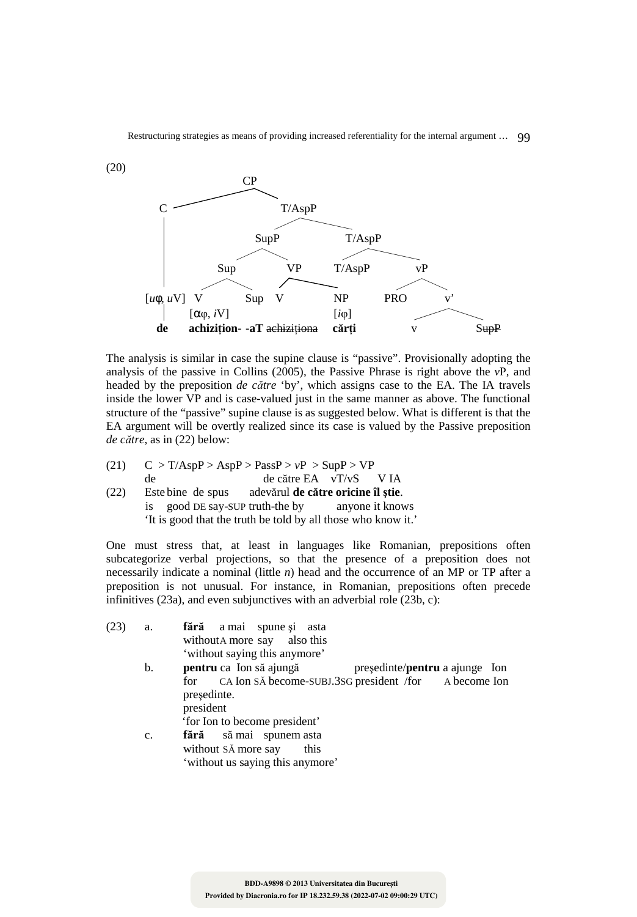

The analysis is similar in case the supine clause is "passive". Provisionally adopting the analysis of the passive in Collins (2005), the Passive Phrase is right above the *v*P, and headed by the preposition *de către* 'by', which assigns case to the EA. The IA travels inside the lower VP and is case-valued just in the same manner as above. The functional structure of the "passive" supine clause is as suggested below. What is different is that the EA argument will be overtly realized since its case is valued by the Passive preposition *de către*, as in (22) below:

 $(21)$  C > T/AspP > AspP > PassP >  $vP$  > SupP > VP de de către EA vT/vS V IA (22) Este bine de spus adevărul **de către oricine îl ştie**. is good DE say-SUP truth-the by anyone it knows 'It is good that the truth be told by all those who know it.'

One must stress that, at least in languages like Romanian, prepositions often subcategorize verbal projections, so that the presence of a preposition does not necessarily indicate a nominal (little *n*) head and the occurrence of an MP or TP after a preposition is not unusual. For instance, in Romanian, prepositions often precede infinitives (23a), and even subjunctives with an adverbial role (23b, c):

| (23) | a.             | fără a mai spune și asta                                                 |
|------|----------------|--------------------------------------------------------------------------|
|      |                | without A more say also this                                             |
|      |                | 'without saying this anymore'                                            |
|      | b.             | <b>pentru</b> ca Ion să ajungă<br>presedinte/ <b>pentru</b> a ajunge Ion |
|      |                | for CA Ion SA become-SUBJ.3SG president /for A become Ion                |
|      |                | presedinte.                                                              |
|      |                | president                                                                |
|      |                | 'for Ion to become president'                                            |
|      | $\mathbf{c}$ . | fără să mai spunem asta                                                  |
|      |                | without SA more say<br>this                                              |
|      |                |                                                                          |

'without us saying this anymore'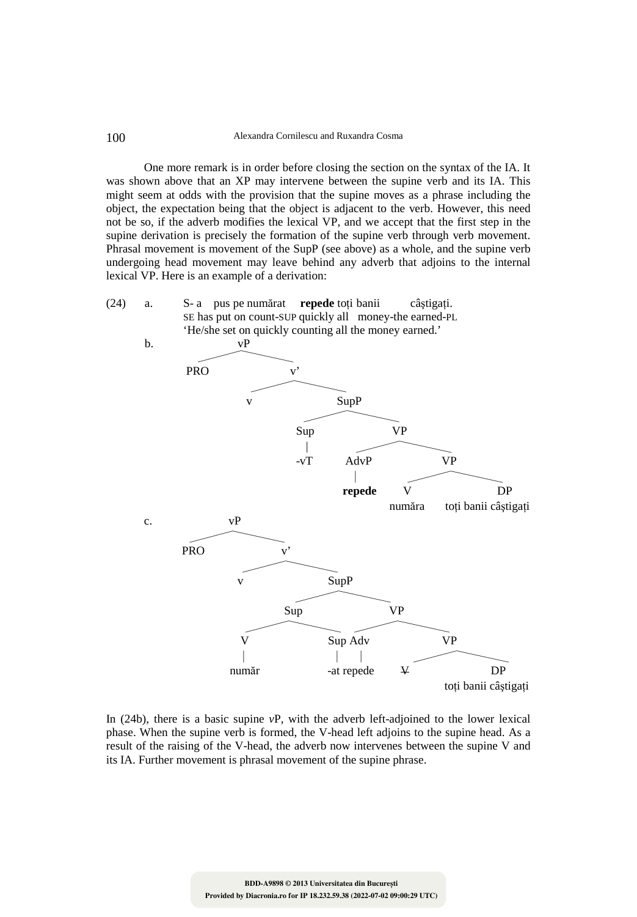One more remark is in order before closing the section on the syntax of the IA. It was shown above that an XP may intervene between the supine verb and its IA. This might seem at odds with the provision that the supine moves as a phrase including the object, the expectation being that the object is adjacent to the verb. However, this need not be so, if the adverb modifies the lexical VP, and we accept that the first step in the supine derivation is precisely the formation of the supine verb through verb movement. Phrasal movement is movement of the SupP (see above) as a whole, and the supine verb undergoing head movement may leave behind any adverb that adjoins to the internal lexical VP. Here is an example of a derivation:





In (24b), there is a basic supine *v*P, with the adverb left-adjoined to the lower lexical phase. When the supine verb is formed, the V-head left adjoins to the supine head. As a result of the raising of the V-head, the adverb now intervenes between the supine V and its IA. Further movement is phrasal movement of the supine phrase.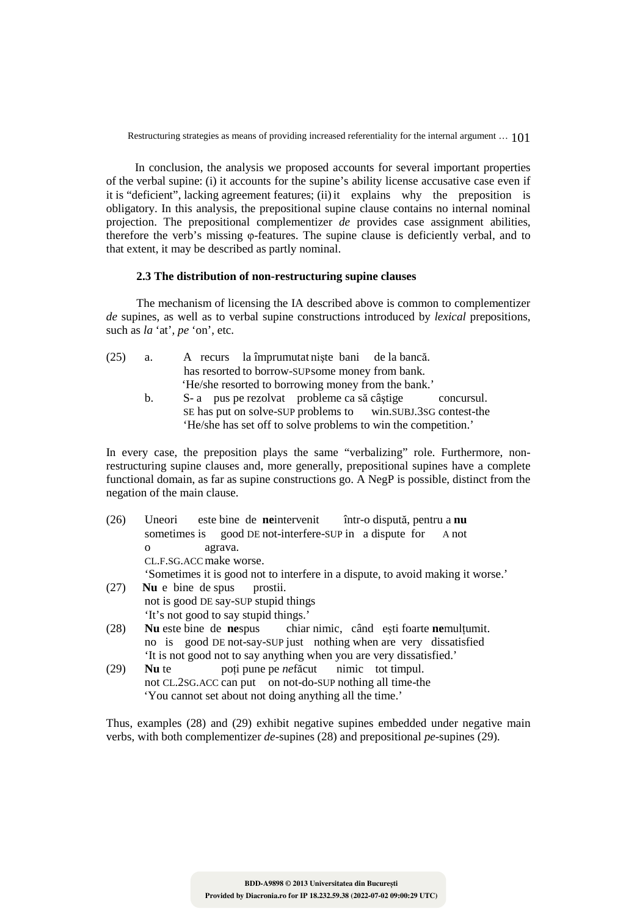In conclusion, the analysis we proposed accounts for several important properties of the verbal supine: (i) it accounts for the supine's ability license accusative case even if it is "deficient", lacking agreement features; (ii) it explains why the preposition is obligatory. In this analysis, the prepositional supine clause contains no internal nominal projection. The prepositional complementizer *de* provides case assignment abilities, therefore the verb's missing φ-features. The supine clause is deficiently verbal, and to that extent, it may be described as partly nominal.

# **2.3 The distribution of non-restructuring supine clauses**

The mechanism of licensing the IA described above is common to complementizer *de* supines, as well as to verbal supine constructions introduced by *lexical* prepositions, such as *la* 'at'*, pe* 'on', etc.

| (25) | a. | A recurs la împrumutat niște bani de la bancă.                                                                                            |
|------|----|-------------------------------------------------------------------------------------------------------------------------------------------|
|      |    | has resorted to borrow-SUP some money from bank.                                                                                          |
|      |    | 'He/she resorted to borrowing money from the bank.'                                                                                       |
|      |    | S-a pus pe rezolvat probleme ca să câștige<br>concursul.                                                                                  |
|      |    | $\sigma$ and $\sigma$ and $\sigma$ at $\sigma$ and $\sigma$ and $\sigma$ and $\sigma$ are $\sigma$ and $\sigma$ and $\sigma$ and $\sigma$ |

 SE has put on solve-SUP problems to win.SUBJ.3SG contest-the 'He/she has set off to solve problems to win the competition.'

In every case, the preposition plays the same "verbalizing" role. Furthermore, nonrestructuring supine clauses and, more generally, prepositional supines have a complete functional domain, as far as supine constructions go. A NegP is possible, distinct from the negation of the main clause.

- (26) Uneori este bine de **ne**intervenit într-o dispută, pentru a **nu** sometimes is good DE not-interfere-SUP in a dispute for A not o agrava. CL.F.SG.ACC make worse. 'Sometimes it is good not to interfere in a dispute, to avoid making it worse.'
- (27)**Nu** e bine de spus prostii. not is good DE say-SUP stupid things 'It's not good to say stupid things.'<br>Nu este bine de nespus chiar
- (28) **Nu** este bine de **ne**spus chiar nimic, când esti foarte **ne**multumit. no is good DE not-say-SUP just nothing when are very dissatisfied 'It is not good not to say anything when you are very dissatisfied.'
- (29) **Nu** te poţi pune pe *ne*făcut nimic tot timpul. not CL.2SG.ACC can put on not-do-SUP nothing all time-the 'You cannot set about not doing anything all the time.'

Thus, examples (28) and (29) exhibit negative supines embedded under negative main verbs, with both complementizer *de-*supines (28) and prepositional *pe-*supines (29).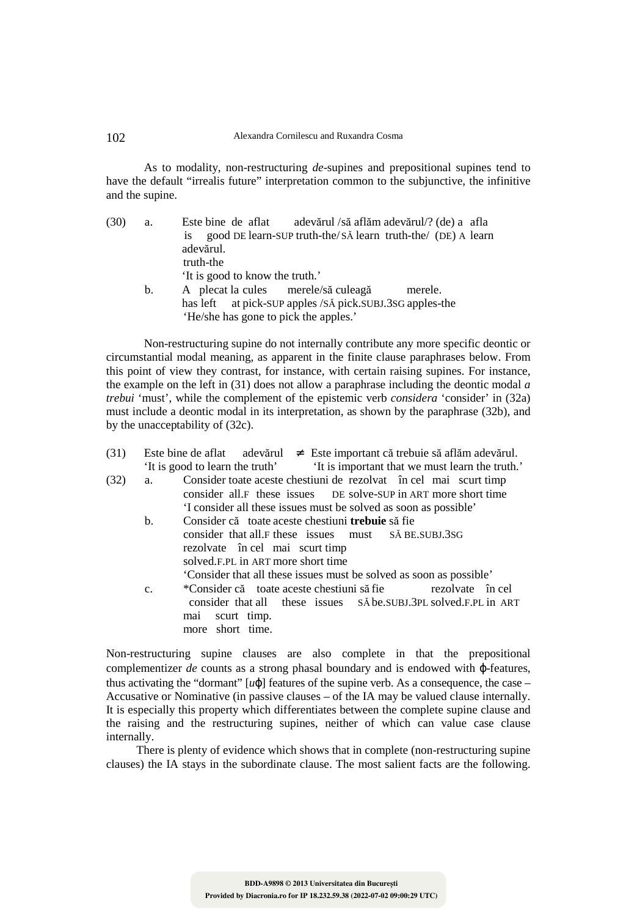As to modality, non-restructuring *de*-supines and prepositional supines tend to have the default "irrealis future" interpretation common to the subjunctive, the infinitive and the supine.

| (30) | a. | adevărul /să aflăm adevărul/? (de) a afla<br>Este bine de aflat           |
|------|----|---------------------------------------------------------------------------|
|      |    | good DE learn-SUP truth-the/SA learn truth-the/ (DE) A learn<br><b>1S</b> |
|      |    | adevărul.                                                                 |
|      |    | truth-the                                                                 |
|      |    | 'It is good to know the truth.'                                           |
|      | b. | A plecat la cules merele/să culeagă<br>merele.                            |
|      |    | has left at pick-SUP apples /SA pick.SUBJ.3SG apples-the                  |
|      |    | 'He/she has gone to pick the apples.'                                     |

 Non-restructuring supine do not internally contribute any more specific deontic or circumstantial modal meaning, as apparent in the finite clause paraphrases below. From this point of view they contrast, for instance, with certain raising supines. For instance, the example on the left in (31) does not allow a paraphrase including the deontic modal *a trebui* 'must', while the complement of the epistemic verb *considera* 'consider' in (32a) must include a deontic modal in its interpretation, as shown by the paraphrase (32b), and by the unacceptability of (32c).

| (31) |                | Este bine de aflat adevărul $\neq$ Este important că trebuie să aflăm adevărul.                                                                                                                                                                                 |
|------|----------------|-----------------------------------------------------------------------------------------------------------------------------------------------------------------------------------------------------------------------------------------------------------------|
|      |                | 'It is good to learn the truth' It is important that we must learn the truth.'                                                                                                                                                                                  |
| (32) | a.             | Consider toate aceste chestiuni de rezolvat în cel mai scurt timp<br>consider all.F these issues DE solve-SUP in ART more short time<br>'I consider all these issues must be solved as soon as possible'                                                        |
|      | b.             | Consider că toate aceste chestiuni <b>trebuie</b> să fie<br>consider that all F these issues must SÅ BE SUBJ.3SG<br>rezolvate în cel mai scurt timp<br>solved.F.PL in ART more short time<br>Consider that all these issues must be solved as soon as possible' |
|      | $\mathbf{C}$ . | *Consider că toate aceste chestiuni să fie rezolvate în cel<br>consider that all these issues SA be SUBJ.3PL solved.F.PL in ART<br>mai scurt timp.<br>more short time.                                                                                          |

Non-restructuring supine clauses are also complete in that the prepositional complementizer *de* counts as a strong phasal boundary and is endowed with ϕ-features, thus activating the "dormant"  $[u\varphi]$  features of the supine verb. As a consequence, the case – Accusative or Nominative (in passive clauses – of the IA may be valued clause internally. It is especially this property which differentiates between the complete supine clause and the raising and the restructuring supines, neither of which can value case clause internally.

There is plenty of evidence which shows that in complete (non-restructuring supine clauses) the IA stays in the subordinate clause. The most salient facts are the following.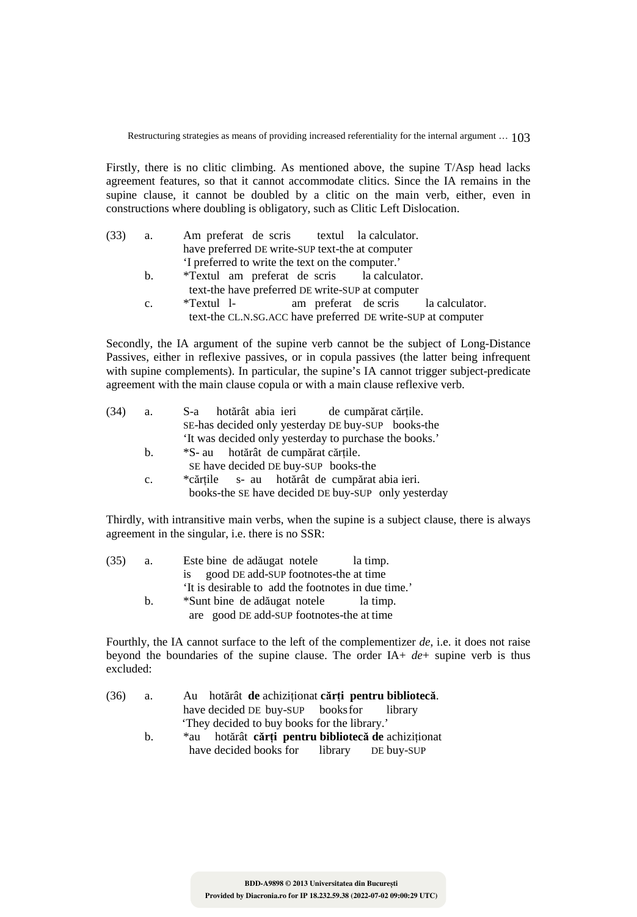Firstly, there is no clitic climbing. As mentioned above, the supine T/Asp head lacks agreement features, so that it cannot accommodate clitics. Since the IA remains in the supine clause, it cannot be doubled by a clitic on the main verb, either, even in constructions where doubling is obligatory, such as Clitic Left Dislocation.

| а.          | Am preferat de scris textul la calculator.                   |
|-------------|--------------------------------------------------------------|
|             | have preferred DE write-SUP text-the at computer             |
|             | 'I preferred to write the text on the computer.'             |
| b.          | *Textul am preferat de scris la calculator.                  |
|             | text-the have preferred DE write-SUP at computer             |
| $c_{\cdot}$ | am preferat de scris la calculator.<br>*Textul 1-            |
|             | text-the CL.N.SG.ACC have preferred DE write-SUP at computer |
|             |                                                              |

Secondly, the IA argument of the supine verb cannot be the subject of Long-Distance Passives, either in reflexive passives, or in copula passives (the latter being infrequent with supine complements). In particular, the supine's IA cannot trigger subject-predicate agreement with the main clause copula or with a main clause reflexive verb.

| (34) | a.             | hotărât abia ieri de cumpărat cărțile.<br>S-a          |
|------|----------------|--------------------------------------------------------|
|      |                | SE-has decided only yesterday DE buy-SUP books-the     |
|      |                | 'It was decided only yesterday to purchase the books.' |
|      | b.             | *S- au hotărât de cumpărat cărțile.                    |
|      |                | SE have decided DE buy-SUP books-the                   |
|      | $\mathbf{c}$ . | *cărțile s- au hotărât de cumpărat abia ieri.          |
|      |                | books-the SE have decided DE buy-SUP only yesterday    |
|      |                |                                                        |

Thirdly, with intransitive main verbs, when the supine is a subject clause, there is always agreement in the singular, i.e. there is no SSR:

| (35) | a.          | Este bine de adăugat notele<br>la timp.             |
|------|-------------|-----------------------------------------------------|
|      |             | good DE add-SUP footnotes-the at time<br>1S         |
|      |             | 'It is desirable to add the footnotes in due time.' |
|      | $h_{\cdot}$ | *Sunt bine de adăugat notele<br>la timp.            |
|      |             | are good DE add-SUP footnotes-the at time           |

Fourthly, the IA cannot surface to the left of the complementizer *de*, i.e. it does not raise beyond the boundaries of the supine clause. The order IA+ *de*+ supine verb is thus excluded:

| (36) | a.      | Au hotărât de achiziționat cărți pentru bibliotecă. |
|------|---------|-----------------------------------------------------|
|      |         | have decided DE buy-SUP books for library           |
|      |         | 'They decided to buy books for the library.'        |
|      | $h_{-}$ | *au hotărât cărți pentru bibliotecă de achiziționat |
|      |         | have decided books for library DE buy-SUP           |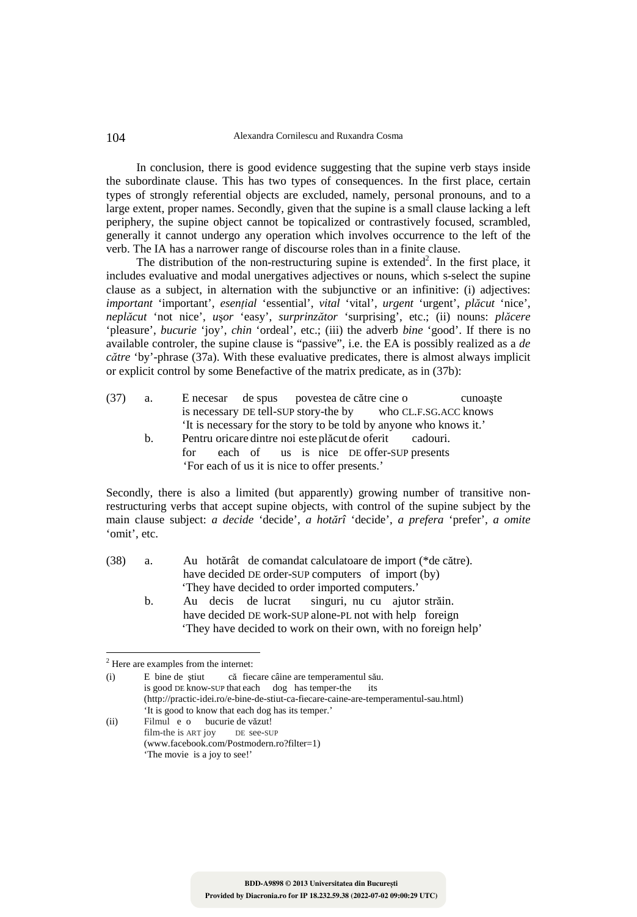#### 104 Alexandra Cornilescu and Ruxandra Cosma

In conclusion, there is good evidence suggesting that the supine verb stays inside the subordinate clause. This has two types of consequences. In the first place, certain types of strongly referential objects are excluded, namely, personal pronouns, and to a large extent, proper names. Secondly, given that the supine is a small clause lacking a left periphery, the supine object cannot be topicalized or contrastively focused, scrambled, generally it cannot undergo any operation which involves occurrence to the left of the verb. The IA has a narrower range of discourse roles than in a finite clause.

The distribution of the non-restructuring supine is extended<sup>2</sup>. In the first place, it includes evaluative and modal unergatives adjectives or nouns, which s-select the supine clause as a subject, in alternation with the subjunctive or an infinitive: (i) adjectives: *important* 'important', *esenţial* 'essential', *vital* 'vital', *urgent* 'urgent', *plăcut* 'nice', *neplăcut* 'not nice', *u*ş*or* 'easy', *surprinzător* 'surprising', etc.; (ii) nouns: *plăcere* 'pleasure', *bucurie* 'joy', *chin* 'ordeal', etc.; (iii) the adverb *bine* 'good'. If there is no available controler, the supine clause is "passive", i.e. the EA is possibly realized as a *de către* 'by'-phrase (37a). With these evaluative predicates, there is almost always implicit or explicit control by some Benefactive of the matrix predicate, as in (37b):

- (37) a. E necesar de spus povestea de către cine o cunoaşte is necessary DE tell-SUP story-the by who CL.F.SG.ACC knows 'It is necessary for the story to be told by anyone who knows it.'
	- b. Pentru oricare dintre noi este plăcut de oferit cadouri. for each of us is nice DE offer-SUP presents 'For each of us it is nice to offer presents.'

Secondly, there is also a limited (but apparently) growing number of transitive nonrestructuring verbs that accept supine objects, with control of the supine subject by the main clause subject: *a decide* 'decide', *a hotărî* 'decide', *a prefera* 'prefer', *a omite* 'omit', etc.

- (38) a. Au hotărât de comandat calculatoare de import (\*de către). have decided DE order-SUP computers of import (by) 'They have decided to order imported computers.'
	- b. Au decis de lucrat singuri, nu cu ajutor străin. have decided DE work-SUP alone-PL not with help foreign 'They have decided to work on their own, with no foreign help'

 $\overline{a}$ 

Filmul e o bucurie de văzut!<br>film-the is ART jov DE see-SUP  $film-the is ART iov$  (www.facebook.com/Postmodern.ro?filter=1) 'The movie is a joy to see!'

<sup>2</sup> Here are examples from the internet:

<sup>(</sup>i) E bine de știut că fiecare câine are temperamentul său.<br>
is good DE know-SUP that each dog has temper-the its is good DE know-SUP that each dog has temper-the (http://practic-idei.ro/e-bine-de-stiut-ca-fiecare-caine-are-temperamentul-sau.html) 'It is good to know that each dog has its temper.'<br>(ii) Filmul e o bucurie de văzut!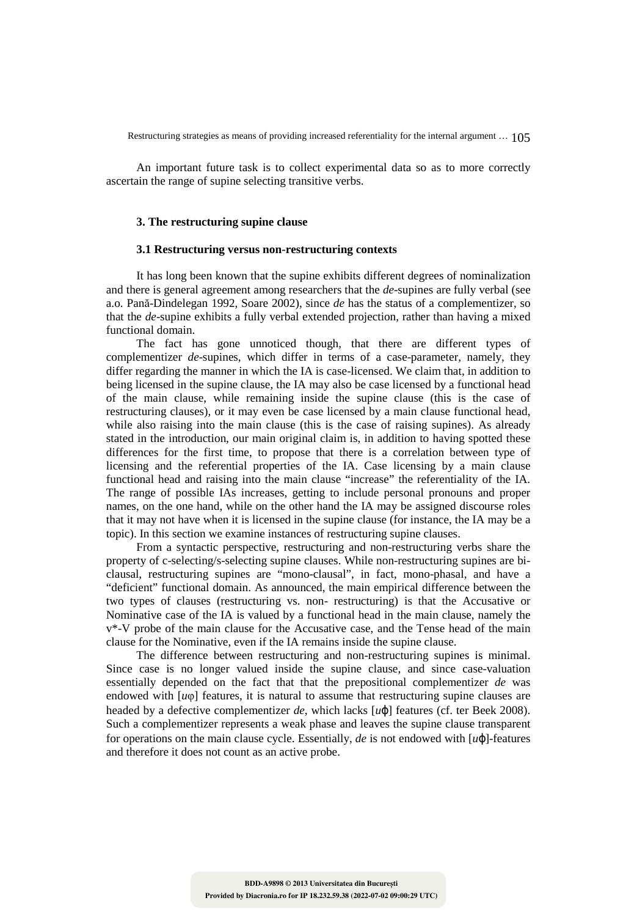An important future task is to collect experimental data so as to more correctly ascertain the range of supine selecting transitive verbs.

### **3. The restructuring supine clause**

### **3.1 Restructuring versus non-restructuring contexts**

It has long been known that the supine exhibits different degrees of nominalization and there is general agreement among researchers that the *de*-supines are fully verbal (see a.o. Pană-Dindelegan 1992, Soare 2002), since *de* has the status of a complementizer, so that the *de*-supine exhibits a fully verbal extended projection, rather than having a mixed functional domain.

The fact has gone unnoticed though, that there are different types of complementizer *de*-supines, which differ in terms of a case-parameter, namely, they differ regarding the manner in which the IA is case-licensed. We claim that, in addition to being licensed in the supine clause, the IA may also be case licensed by a functional head of the main clause, while remaining inside the supine clause (this is the case of restructuring clauses), or it may even be case licensed by a main clause functional head, while also raising into the main clause (this is the case of raising supines). As already stated in the introduction, our main original claim is, in addition to having spotted these differences for the first time, to propose that there is a correlation between type of licensing and the referential properties of the IA. Case licensing by a main clause functional head and raising into the main clause "increase" the referentiality of the IA. The range of possible IAs increases, getting to include personal pronouns and proper names, on the one hand, while on the other hand the IA may be assigned discourse roles that it may not have when it is licensed in the supine clause (for instance, the IA may be a topic). In this section we examine instances of restructuring supine clauses.

From a syntactic perspective, restructuring and non-restructuring verbs share the property of c-selecting/s-selecting supine clauses. While non-restructuring supines are biclausal, restructuring supines are "mono-clausal", in fact, mono-phasal, and have a "deficient" functional domain. As announced, the main empirical difference between the two types of clauses (restructuring vs. non- restructuring) is that the Accusative or Nominative case of the IA is valued by a functional head in the main clause, namely the v\*-V probe of the main clause for the Accusative case, and the Tense head of the main clause for the Nominative, even if the IA remains inside the supine clause.

The difference between restructuring and non-restructuring supines is minimal. Since case is no longer valued inside the supine clause, and since case-valuation essentially depended on the fact that that the prepositional complementizer *de* was endowed with  $\lceil \mu \varphi \rceil$  features, it is natural to assume that restructuring supine clauses are headed by a defective complementizer *de*, which lacks [*u*ϕ] features (cf. ter Beek 2008). Such a complementizer represents a weak phase and leaves the supine clause transparent for operations on the main clause cycle. Essentially, *de* is not endowed with [*u*ϕ]-features and therefore it does not count as an active probe.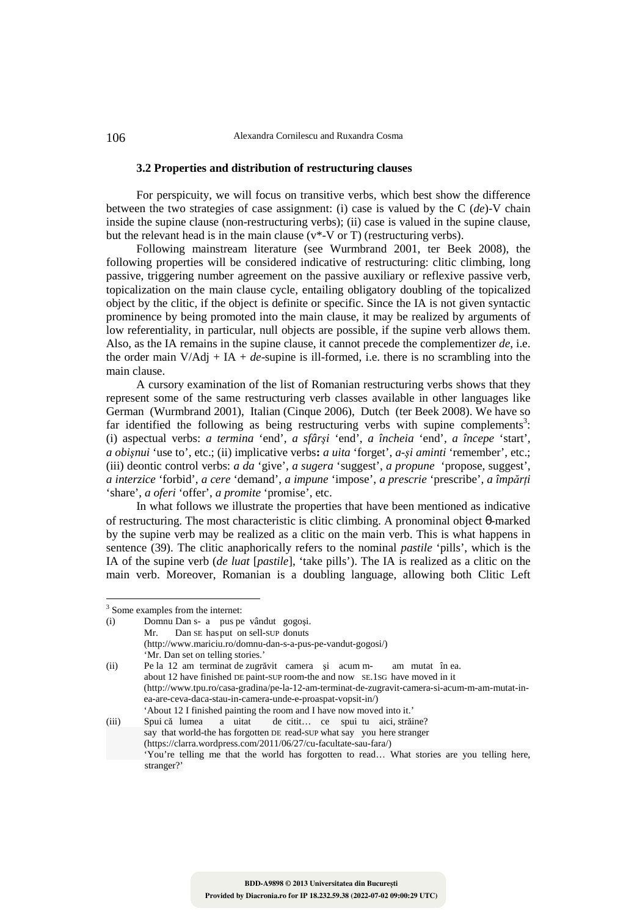106 Alexandra Cornilescu and Ruxandra Cosma

#### **3.2 Properties and distribution of restructuring clauses**

For perspicuity, we will focus on transitive verbs, which best show the difference between the two strategies of case assignment: (i) case is valued by the C (*de*)-V chain inside the supine clause (non-restructuring verbs); (ii) case is valued in the supine clause, but the relevant head is in the main clause ( $v^*$ -V or T) (restructuring verbs).

Following mainstream literature (see Wurmbrand 2001, ter Beek 2008), the following properties will be considered indicative of restructuring: clitic climbing, long passive, triggering number agreement on the passive auxiliary or reflexive passive verb, topicalization on the main clause cycle, entailing obligatory doubling of the topicalized object by the clitic, if the object is definite or specific. Since the IA is not given syntactic prominence by being promoted into the main clause, it may be realized by arguments of low referentiality, in particular, null objects are possible, if the supine verb allows them. Also, as the IA remains in the supine clause, it cannot precede the complementizer *de*, i.e. the order main V/Adj + IA + *de*-supine is ill-formed, i.e. there is no scrambling into the main clause.

A cursory examination of the list of Romanian restructuring verbs shows that they represent some of the same restructuring verb classes available in other languages like German (Wurmbrand 2001), Italian (Cinque 2006), Dutch (ter Beek 2008). We have so far identified the following as being restructuring verbs with supine complements<sup>3</sup>: (i) aspectual verbs: *a termina* 'end', *a sfârşi* 'end', *a încheia* 'end', *a începe* 'start', *a obişnui* 'use to', etc.; (ii) implicative verbs**:** *a uita* 'forget', *a-şi aminti* 'remember', etc.; (iii) deontic control verbs: *a da* 'give', *a sugera* 'suggest', *a propune* 'propose, suggest', *a interzice* 'forbid', *a cere* 'demand', *a impune* 'impose', *a prescrie* 'prescribe', *a împărţi*  'share', *a oferi* 'offer', *a promite* 'promise', etc.

In what follows we illustrate the properties that have been mentioned as indicative of restructuring. The most characteristic is clitic climbing. A pronominal object θ-marked by the supine verb may be realized as a clitic on the main verb. This is what happens in sentence (39). The clitic anaphorically refers to the nominal *pastile* 'pills', which is the IA of the supine verb (*de luat* [*pastile*], 'take pills'). The IA is realized as a clitic on the main verb. Moreover, Romanian is a doubling language, allowing both Clitic Left

(i) Domnu Dan s- a pus pe vândut gogoşi. Mr. Dan SE has put on sell-SUP donuts (http://www.mariciu.ro/domnu-dan-s-a-pus-pe-vandut-gogosi/) 'Mr. Dan set on telling stories.' (ii) Pe la 12 am terminat de zugrăvit camera şi acum m- am mutat în ea. about 12 have finished DE paint-SUP room-the and now SE.1SG have moved in it (http://www.tpu.ro/casa-gradina/pe-la-12-am-terminat-de-zugravit-camera-si-acum-m-am-mutat-inea-are-ceva-daca-stau-in-camera-unde-e-proaspat-vopsit-in/)

'About 12 I finished painting the room and I have now moved into it.' (iii) Spui că lumea a uitat de citit… ce spui tu aici, străine? say that world-the has forgotten DE read-SUP what say you here stranger (https://clarra.wordpress.com/2011/06/27/cu-facultate-sau-fara/) 'You're telling me that the world has forgotten to read… What stories are you telling here, stranger?'

<sup>&</sup>lt;sup>3</sup> Some examples from the internet: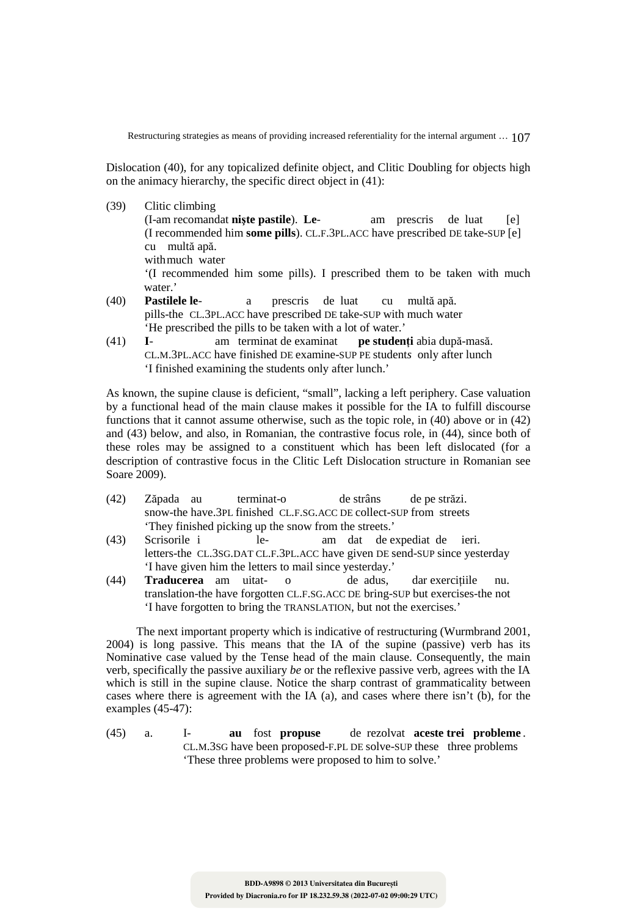Dislocation (40), for any topicalized definite object, and Clitic Doubling for objects high on the animacy hierarchy, the specific direct object in (41):

- (39) Clitic climbing (I-am recomandat **nişte pastile**). **Le**- am prescris de luat [e] (I recommended him **some pills**). CL.F.3PL.ACC have prescribed DE take-SUP [e] cu multă apă. with much water '(I recommended him some pills). I prescribed them to be taken with much water.'
- (40) **Pastilele le** a prescris de luat cu multă apă. pills-the CL.3PL.ACC have prescribed DE take-SUP with much water 'He prescribed the pills to be taken with a lot of water.'<br>I- am terminat de examinat **pe studen**
- (41) **I** am terminat de examinat **pe studenţi** abia după-masă. CL.M.3PL.ACC have finished DE examine-SUP PE student*s* only after lunch 'I finished examining the students only after lunch.'

As known, the supine clause is deficient, "small", lacking a left periphery. Case valuation by a functional head of the main clause makes it possible for the IA to fulfill discourse functions that it cannot assume otherwise, such as the topic role, in (40) above or in (42) and (43) below, and also, in Romanian, the contrastive focus role, in (44), since both of these roles may be assigned to a constituent which has been left dislocated (for a description of contrastive focus in the Clitic Left Dislocation structure in Romanian see Soare 2009).

- (42) Zăpada au terminat-o de strâns de pe străzi. snow-the have.3PL finished CL.F.SG.ACC DE collect-SUP from streets 'They finished picking up the snow from the streets.'
- (43) Scrisorile i le- am dat de expediat de ieri. letters-the CL.3SG.DAT CL.F.3PL.ACC have given DE send-SUP since yesterday 'I have given him the letters to mail since yesterday.'<br>
(44) **Traducerea** am uitat- o de adus.
- **Traducerea** am uitat- o de adus, dar exercitiile nu. translation-the have forgotten CL.F.SG.ACC DE bring-SUP but exercises-the not 'I have forgotten to bring the TRANSLATION, but not the exercises.'

The next important property which is indicative of restructuring (Wurmbrand 2001, 2004) is long passive. This means that the IA of the supine (passive) verb has its Nominative case valued by the Tense head of the main clause. Consequently, the main verb, specifically the passive auxiliary *be* or the reflexive passive verb, agrees with the IA which is still in the supine clause. Notice the sharp contrast of grammaticality between cases where there is agreement with the IA (a), and cases where there isn't (b), for the examples (45-47):

(45) a. I- **au** fost **propuse** de rezolvat **aceste trei probleme** . CL.M.3SG have been proposed-F.PL DE solve-SUP these three problems 'These three problems were proposed to him to solve.'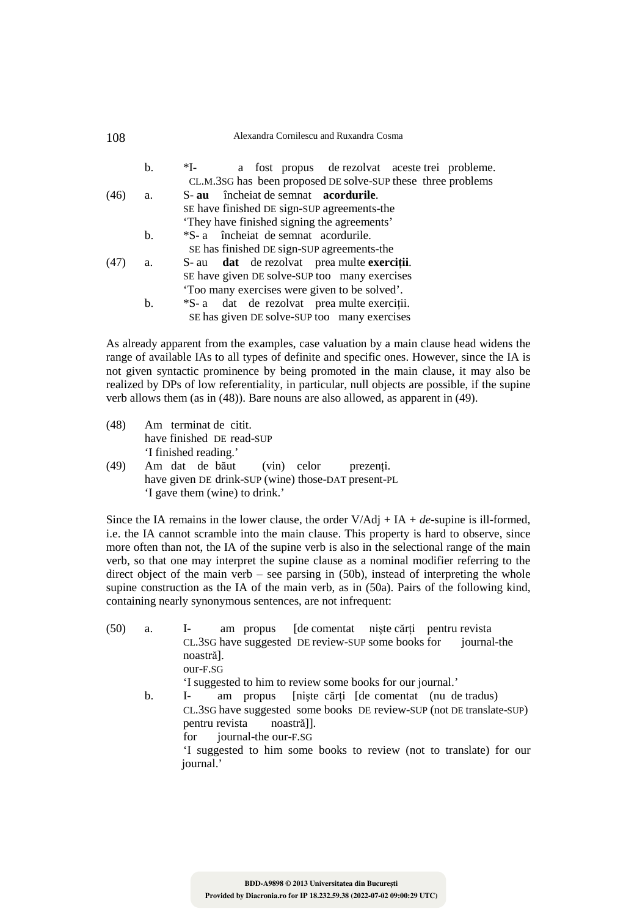#### 108 Alexandra Cornilescu and Ruxandra Cosma

|      | b. | $*I-$<br>a fost propus de rezolvat aceste trei probleme.     |
|------|----|--------------------------------------------------------------|
|      |    | CL.M.3SG has been proposed DE solve-SUP these three problems |
| (46) | a. | S-au încheiat de semnat acordurile.                          |
|      |    | SE have finished DE sign-SUP agreements-the                  |
|      |    | 'They have finished signing the agreements'                  |
|      | b. | *S- a morte in the semest accordurile.                       |
|      |    | SE has finished DE sign-SUP agreements-the                   |
| (47) | a. | S- au dat de rezolvat prea multe exerciții.                  |
|      |    | SE have given DE solve-SUP too many exercises                |
|      |    | 'Too many exercises were given to be solved'.                |
|      | b. | *S- a dat de rezolvat prea multe exerciții.                  |
|      |    | SE has given DE solve-SUP too many exercises                 |

As already apparent from the examples, case valuation by a main clause head widens the range of available IAs to all types of definite and specific ones. However, since the IA is not given syntactic prominence by being promoted in the main clause, it may also be realized by DPs of low referentiality, in particular, null objects are possible, if the supine verb allows them (as in (48)). Bare nouns are also allowed, as apparent in (49).

- (48) Am terminat de citit. have finished DE read-SUP 'I finished reading.'
- (49) Am dat de băut (vin) celor prezenţi. have given DE drink-SUP (wine) those-DAT present-PL 'I gave them (wine) to drink.'

Since the IA remains in the lower clause, the order  $V/Adi + IA + de$ -supine is ill-formed, i.e. the IA cannot scramble into the main clause. This property is hard to observe, since more often than not, the IA of the supine verb is also in the selectional range of the main verb, so that one may interpret the supine clause as a nominal modifier referring to the direct object of the main verb – see parsing in  $(50b)$ , instead of interpreting the whole supine construction as the IA of the main verb, as in (50a). Pairs of the following kind, containing nearly synonymous sentences, are not infrequent:

(50) a. I- am propus [de comentat niste cărti pentru revista CL.3SG have suggested DE review-SUP some books for journal-the noastră]. our-F.SG 'I suggested to him to review some books for our journal.' b. I- am propus [niște cărți [de comentat (nu de tradus) CL.3SG have suggested some books DE review-SUP (not DE translate-SUP)

 pentru revista noastră]]. for journal-the our-F.SG 'I suggested to him some books to review (not to translate) for our journal.'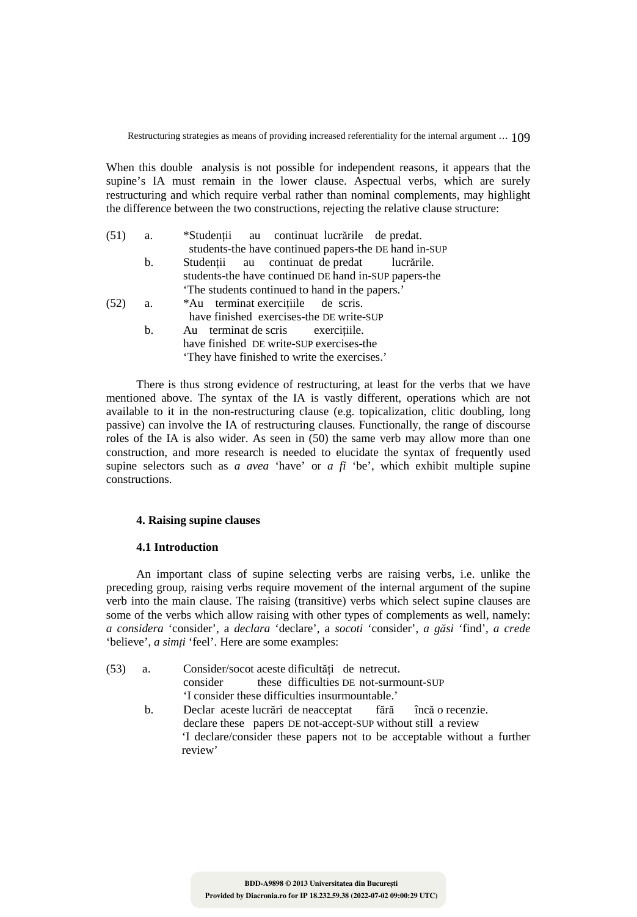When this double analysis is not possible for independent reasons, it appears that the supine's IA must remain in the lower clause. Aspectual verbs, which are surely restructuring and which require verbal rather than nominal complements, may highlight the difference between the two constructions, rejecting the relative clause structure:

| (51) | а.             | *Studenții au continuat lucrările de predat.          |
|------|----------------|-------------------------------------------------------|
|      |                | students-the have continued papers-the DE hand in-SUP |
|      | $\mathbf{b}$ . | Studenții au continuat de predat lucrările.           |
|      |                | students-the have continued DE hand in-SUP papers-the |
|      |                | The students continued to hand in the papers.'        |
| (52) | a.             | *Au terminat exercițiile de scris.                    |
|      |                | have finished exercises-the DE write-SUP              |
|      | $\mathbf{b}$ . | Au terminat de scris exercitiile.                     |
|      |                | have finished DE write-SUP exercises-the              |
|      |                | They have finished to write the exercises.            |
|      |                |                                                       |

There is thus strong evidence of restructuring, at least for the verbs that we have mentioned above. The syntax of the IA is vastly different, operations which are not available to it in the non-restructuring clause (e.g. topicalization, clitic doubling, long passive) can involve the IA of restructuring clauses. Functionally, the range of discourse roles of the IA is also wider. As seen in (50) the same verb may allow more than one construction, and more research is needed to elucidate the syntax of frequently used supine selectors such as *a avea* 'have' or *a fi* 'be', which exhibit multiple supine constructions.

### **4. Raising supine clauses**

#### **4.1 Introduction**

An important class of supine selecting verbs are raising verbs, i.e. unlike the preceding group, raising verbs require movement of the internal argument of the supine verb into the main clause. The raising (transitive) verbs which select supine clauses are some of the verbs which allow raising with other types of complements as well, namely: *a considera* 'consider', a *declara* 'declare', a *socoti* 'consider', *a găsi* 'find', *a crede*  'believe', *a simţi* 'feel'. Here are some examples:

| (53) | a. | Consider/socot aceste dificultăți de netrecut.                                                                                                                                                                                        |
|------|----|---------------------------------------------------------------------------------------------------------------------------------------------------------------------------------------------------------------------------------------|
|      |    | consider these difficulties DE not-surmount-SUP                                                                                                                                                                                       |
|      |    | 'I consider these difficulties insurmountable.'                                                                                                                                                                                       |
|      |    | .<br>$\mathbb{R}$ 1 and 1 and 1 and 1 and 1 and 1 and 1 and 1 and 1 and 1 and 1 and 1 and 1 and 1 and 1 and 1 and 1 and 1 and 1 and 1 and 1 and 1 and 1 and 1 and 1 and 1 and 1 and 1 and 1 and 1 and 1 and 1 and 1 and 1 and 1 and 1 |

 b. Declar aceste lucrări de neacceptat fără încă o recenzie. declare these papers DE not-accept-SUP without still a review 'I declare/consider these papers not to be acceptable without a further review'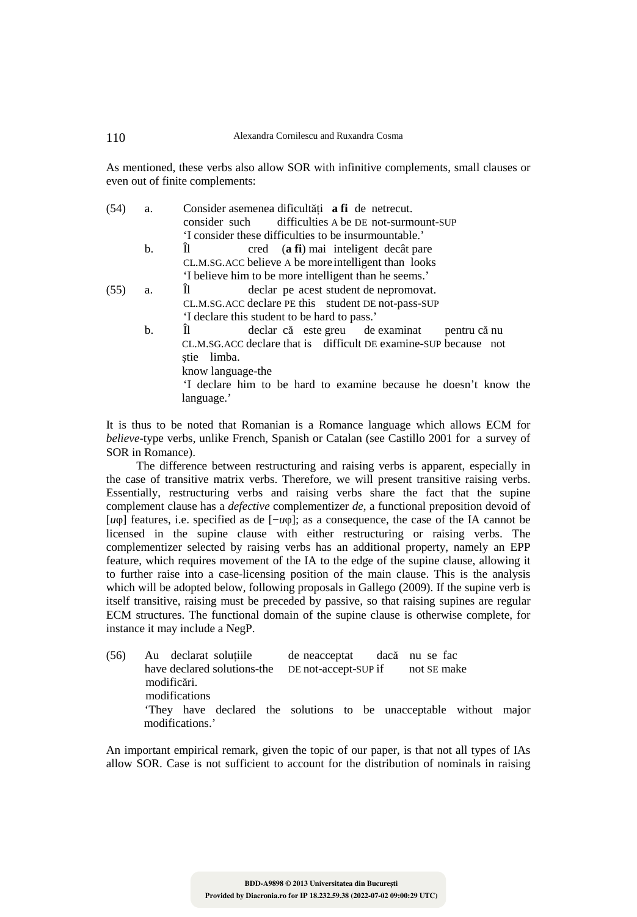As mentioned, these verbs also allow SOR with infinitive complements, small clauses or even out of finite complements:

| (54) | a. | Consider asemenea dificultăți a fi de netrecut.                  |
|------|----|------------------------------------------------------------------|
|      |    | consider such difficulties A be DE not-surmount-SUP              |
|      |    | T consider these difficulties to be insurmountable.              |
|      | b. | cred (a fi) mai inteligent decât pare<br>Il.                     |
|      |    | CL.M.SG.ACC believe A be more intelligent than looks             |
|      |    | 'I believe him to be more intelligent than he seems.'            |
| (55) | a. | declar pe acest student de nepromovat.<br>Il.                    |
|      |    | CL.M.SG.ACC declare PE this student DE not-pass-SUP              |
|      |    | 'I declare this student to be hard to pass.'                     |
|      | b. | Il.<br>declar că este greu de examinat<br>pentru că nu           |
|      |    | CL.M.SG.ACC declare that is difficult DE examine-SUP because not |
|      |    | limba.<br>stie                                                   |
|      |    | know language-the                                                |
|      |    | If declare him to be hard to examine because he doesn't know the |

It is thus to be noted that Romanian is a Romance language which allows ECM for *believe*-type verbs, unlike French, Spanish or Catalan (see Castillo 2001 for a survey of SOR in Romance).

language.'

The difference between restructuring and raising verbs is apparent, especially in the case of transitive matrix verbs. Therefore, we will present transitive raising verbs. Essentially, restructuring verbs and raising verbs share the fact that the supine complement clause has a *defective* complementizer *de*, a functional preposition devoid of [*u*φ] features, i.e. specified as de [−*u*φ]; as a consequence, the case of the IA cannot be licensed in the supine clause with either restructuring or raising verbs. The complementizer selected by raising verbs has an additional property, namely an EPP feature, which requires movement of the IA to the edge of the supine clause, allowing it to further raise into a case-licensing position of the main clause. This is the analysis which will be adopted below, following proposals in Gallego (2009). If the supine verb is itself transitive, raising must be preceded by passive, so that raising supines are regular ECM structures. The functional domain of the supine clause is otherwise complete, for instance it may include a NegP.

| (56) | Au declarat soluțiile                                                                             | de neacceptat dacă nu se fac |  |
|------|---------------------------------------------------------------------------------------------------|------------------------------|--|
|      | have declared solutions-the DE not-accept-SUP if not SE make                                      |                              |  |
|      | modificări.<br>modifications<br>They have declared the solutions to be unacceptable without major |                              |  |
|      | modifications.'                                                                                   |                              |  |

An important empirical remark, given the topic of our paper, is that not all types of IAs allow SOR. Case is not sufficient to account for the distribution of nominals in raising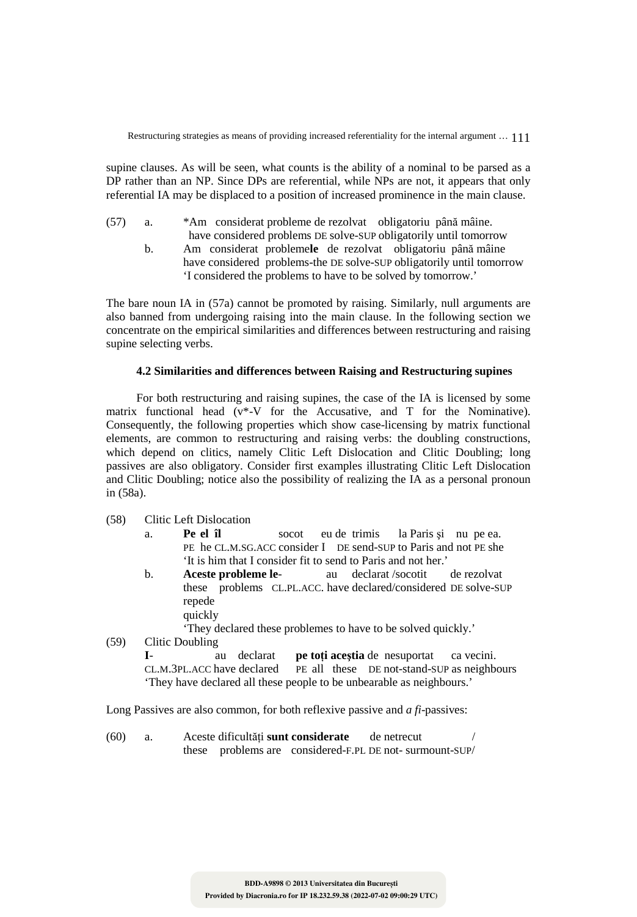supine clauses. As will be seen, what counts is the ability of a nominal to be parsed as a DP rather than an NP. Since DPs are referential, while NPs are not, it appears that only referential IA may be displaced to a position of increased prominence in the main clause.

- (57) a. \*Am considerat probleme de rezolvat obligatoriu până mâine.
	- have considered problems DE solve-SUP obligatorily until tomorrow b. Am considerat probleme**le** de rezolvat obligatoriu până mâine have considered problems-the DE solve-SUP obligatorily until tomorrow 'I considered the problems to have to be solved by tomorrow.'

The bare noun IA in (57a) cannot be promoted by raising. Similarly, null arguments are also banned from undergoing raising into the main clause. In the following section we concentrate on the empirical similarities and differences between restructuring and raising supine selecting verbs.

## **4.2 Similarities and differences between Raising and Restructuring supines**

For both restructuring and raising supines, the case of the IA is licensed by some matrix functional head (v\*-V for the Accusative, and T for the Nominative). Consequently, the following properties which show case-licensing by matrix functional elements, are common to restructuring and raising verbs: the doubling constructions, which depend on clitics, namely Clitic Left Dislocation and Clitic Doubling; long passives are also obligatory. Consider first examples illustrating Clitic Left Dislocation and Clitic Doubling; notice also the possibility of realizing the IA as a personal pronoun in (58a).

- (58) Clitic Left Dislocation
	- a. **Pe el îl** socot eu de trimis la Paris şi nu pe ea. PE he CL.M.SG.ACC consider I DE send-SUP to Paris and not PE she 'It is him that I consider fit to send to Paris and not her.'
	- b. **Aceste probleme le** au declarat /socotit de rezolvat these problems CL.PL.ACC. have declared/considered DE solve-SUP repede quickly

'They declared these problemes to have to be solved quickly.'

(59) Clitic Doubling

**I**- au declarat **pe toti acestia** de nesuportat ca vecini.<br>CL.M.3PL.ACC have declared **PE** all these DE not-stand-SUP as neighbor-PE all these DE not-stand-SUP as neighbours 'They have declared all these people to be unbearable as neighbours.'

Long Passives are also common, for both reflexive passive and *a fi*-passives:

(60) a. Aceste dificultăți **sunt considerate** de netrecut these problems are considered-F.PL DE not- surmount-SUP/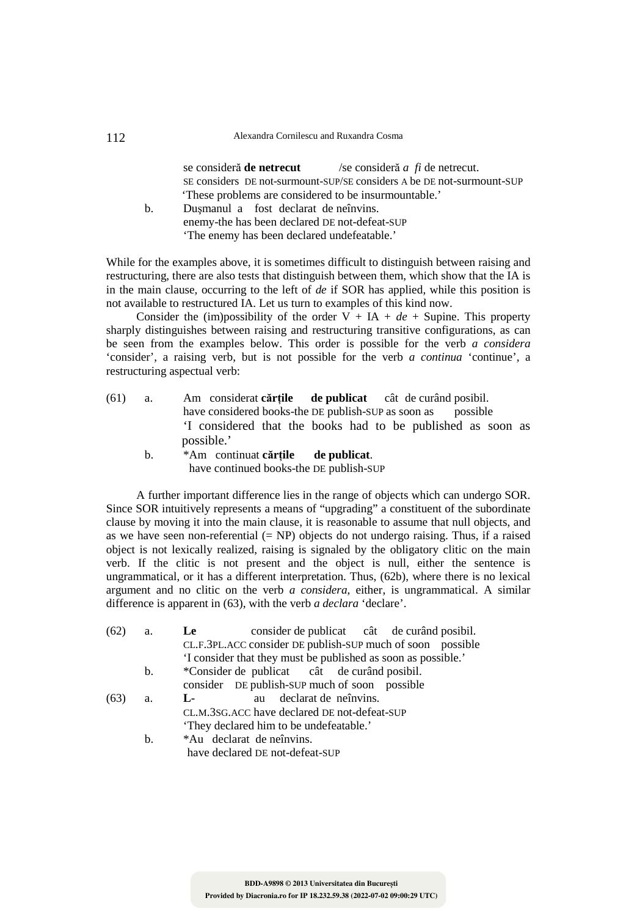#### 112 Alexandra Cornilescu and Ruxandra Cosma

 se consideră **de netrecut** /se consideră *a fi* de netrecut. SE considers DE not-surmount-SUP/SE considers A be DE not-surmount-SUP 'These problems are considered to be insurmountable.'

 b. Duşmanul a fost declarat de neînvins. enemy-the has been declared DE not-defeat-SUP 'The enemy has been declared undefeatable.'

While for the examples above, it is sometimes difficult to distinguish between raising and restructuring, there are also tests that distinguish between them, which show that the IA is in the main clause, occurring to the left of *de* if SOR has applied, while this position is not available to restructured IA. Let us turn to examples of this kind now.

Consider the (im)possibility of the order  $V + IA + de +$  Supine. This property sharply distinguishes between raising and restructuring transitive configurations, as can be seen from the examples below. This order is possible for the verb *a considera* 'consider', a raising verb, but is not possible for the verb *a continua* 'continue', a restructuring aspectual verb:

- (61) a. Am considerat **cărţile de publicat** cât de curând posibil. have considered books-the DE publish-SUP as soon as 'I considered that the books had to be published as soon as possible.'
	- b. \*Am continuat **cărţile de publicat**. have continued books-the DE publish-SUP

A further important difference lies in the range of objects which can undergo SOR. Since SOR intuitively represents a means of "upgrading" a constituent of the subordinate clause by moving it into the main clause, it is reasonable to assume that null objects, and as we have seen non-referential  $(= NP)$  objects do not undergo raising. Thus, if a raised object is not lexically realized, raising is signaled by the obligatory clitic on the main verb. If the clitic is not present and the object is null, either the sentence is ungrammatical, or it has a different interpretation. Thus, (62b), where there is no lexical argument and no clitic on the verb *a considera*, either, is ungrammatical. A similar difference is apparent in (63), with the verb *a declara* 'declare'.

| (62) | a. | consider de publicat cât de curând posibil.<br>Le             |
|------|----|---------------------------------------------------------------|
|      |    | CL.F.3PL.ACC consider DE publish-SUP much of soon possible    |
|      |    | 'I consider that they must be published as soon as possible.' |
|      | b. | *Consider de publicat cât de curând posibil.                  |
|      |    | consider DE publish-SUP much of soon possible                 |
| (63) | a. | au declarat de neînvins.<br>$L_{\rm F}$                       |
|      |    | CL.M.3SG.ACC have declared DE not-defeat-SUP                  |
|      |    | 'They declared him to be undefeatable.'                       |
|      | b. | *Au declarat de neînvins.                                     |
|      |    | have declared DE not-defeat-SUP                               |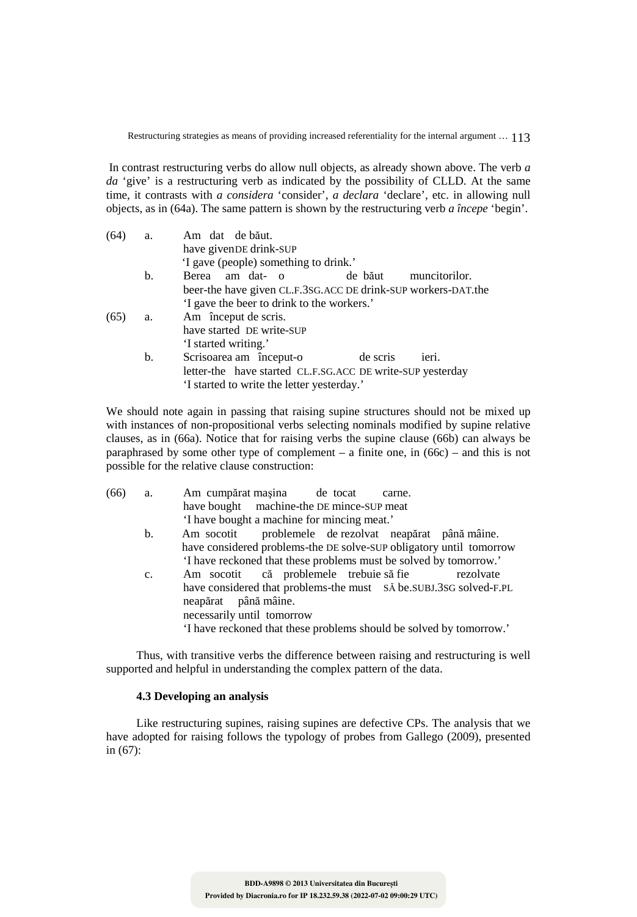In contrast restructuring verbs do allow null objects, as already shown above. The verb *a da* 'give' is a restructuring verb as indicated by the possibility of CLLD. At the same time, it contrasts with *a considera* 'consider', *a declara* 'declare', etc. in allowing null objects, as in (64a). The same pattern is shown by the restructuring verb *a începe* 'begin'.

| (64) | a. | Am dat de băut.                                               |
|------|----|---------------------------------------------------------------|
|      |    | have given DE drink-SUP                                       |
|      |    | 'I gave (people) something to drink.'                         |
|      | b. | Berea am dat- o<br>muncitorilor.<br>de băut                   |
|      |    | beer-the have given CL.F.3sG.ACC DE drink-SUP workers-DAT.the |
|      |    | 'I gave the beer to drink to the workers.'                    |
| (65) | a. | Am început de scris.                                          |
|      |    | have started DE write-SUP                                     |
|      |    | 'I started writing.'                                          |
|      | b. | Scrisoarea am început-o<br>de scris<br>ieri.                  |
|      |    | letter-the have started CL.F.SG.ACC DE write-SUP yesterday    |
|      |    | 'I started to write the letter yesterday.'                    |
|      |    |                                                               |

We should note again in passing that raising supine structures should not be mixed up with instances of non-propositional verbs selecting nominals modified by supine relative clauses, as in (66a). Notice that for raising verbs the supine clause (66b) can always be paraphrased by some other type of complement – a finite one, in (66c) – and this is not possible for the relative clause construction:

| (66) | a.             | Am cumpărat mașina de tocat<br>carne.                                                                                   |
|------|----------------|-------------------------------------------------------------------------------------------------------------------------|
|      |                | have bought machine-the DE mince-SUP meat                                                                               |
|      |                | 'I have bought a machine for mincing meat.'                                                                             |
|      | $\mathbf{b}$ . | Am socotit problemele de rezolvat neapărat până mâine.                                                                  |
|      |                | have considered problems-the DE solve-SUP obligatory until tomorrow                                                     |
|      |                | 'I have reckoned that these problems must be solved by tomorrow.'                                                       |
|      | $c_{\cdot}$    | Am socotit că problemele trebuie să fie<br>rezolvate                                                                    |
|      |                | have considered that problems-the must SA be.SUBJ.3SG solved-F.PL<br>neapărat până mâine.<br>necessarily until tomorrow |
|      |                | 'I have reckoned that these problems should be solved by tomorrow.'                                                     |

Thus, with transitive verbs the difference between raising and restructuring is well supported and helpful in understanding the complex pattern of the data.

## **4.3 Developing an analysis**

Like restructuring supines, raising supines are defective CPs. The analysis that we have adopted for raising follows the typology of probes from Gallego (2009), presented in (67):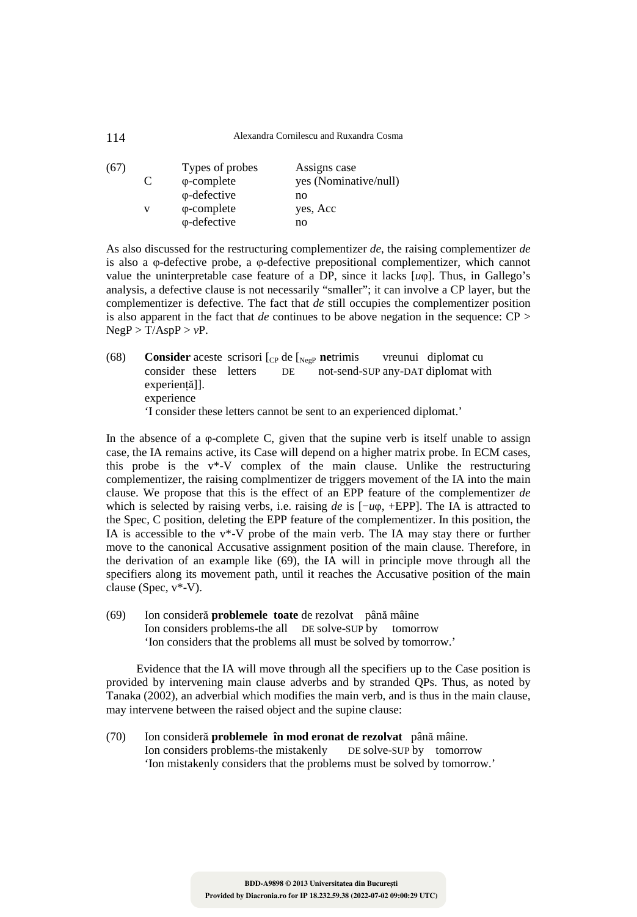| (67) | C | Types of probes<br>$\varphi$ -complete      | Assigns case<br>yes (Nominative/null) |
|------|---|---------------------------------------------|---------------------------------------|
|      |   | $\varphi$ -defective                        | no                                    |
|      | v | $\varphi$ -complete<br>$\varphi$ -defective | yes, Acc<br>no                        |

As also discussed for the restructuring complementizer *de*, the raising complementizer *de* is also a φ-defective probe, a φ-defective prepositional complementizer, which cannot value the uninterpretable case feature of a DP, since it lacks [*u*φ]. Thus, in Gallego's analysis, a defective clause is not necessarily "smaller"; it can involve a CP layer, but the complementizer is defective. The fact that *de* still occupies the complementizer position is also apparent in the fact that *de* continues to be above negation in the sequence: CP >  $NegP > T/AspP > vP$ .

(68) **Consider** aceste scrisori [<sub>CP</sub> de [<sub>NegP</sub> **ne**trimis vreunui diplomat cu consider these letters DE not-send-SUP any-DAT diplomat wit DE not-send-SUP any-DAT diplomat with experienţă]]. experience 'I consider these letters cannot be sent to an experienced diplomat.'

In the absence of a  $\varphi$ -complete C, given that the supine verb is itself unable to assign case, the IA remains active, its Case will depend on a higher matrix probe. In ECM cases, this probe is the v\*-V complex of the main clause. Unlike the restructuring complementizer, the raising complmentizer de triggers movement of the IA into the main clause. We propose that this is the effect of an EPP feature of the complementizer *de* which is selected by raising verbs, i.e. raising *de* is [−*u*φ, +EPP]. The IA is attracted to the Spec, C position, deleting the EPP feature of the complementizer. In this position, the IA is accessible to the v\*-V probe of the main verb. The IA may stay there or further move to the canonical Accusative assignment position of the main clause. Therefore, in the derivation of an example like (69), the IA will in principle move through all the specifiers along its movement path, until it reaches the Accusative position of the main clause (Spec, v\*-V).

(69) Ion consideră **problemele toate** de rezolvat până mâine Ion considers problems-the all DE solve-SUP by tomorrow 'Ion considers that the problems all must be solved by tomorrow.'

Evidence that the IA will move through all the specifiers up to the Case position is provided by intervening main clause adverbs and by stranded QPs. Thus, as noted by Tanaka (2002), an adverbial which modifies the main verb, and is thus in the main clause, may intervene between the raised object and the supine clause:

(70) Ion consideră **problemele în mod eronat de rezolvat** până mâine. Ion considers problems-the mistakenly 'Ion mistakenly considers that the problems must be solved by tomorrow.'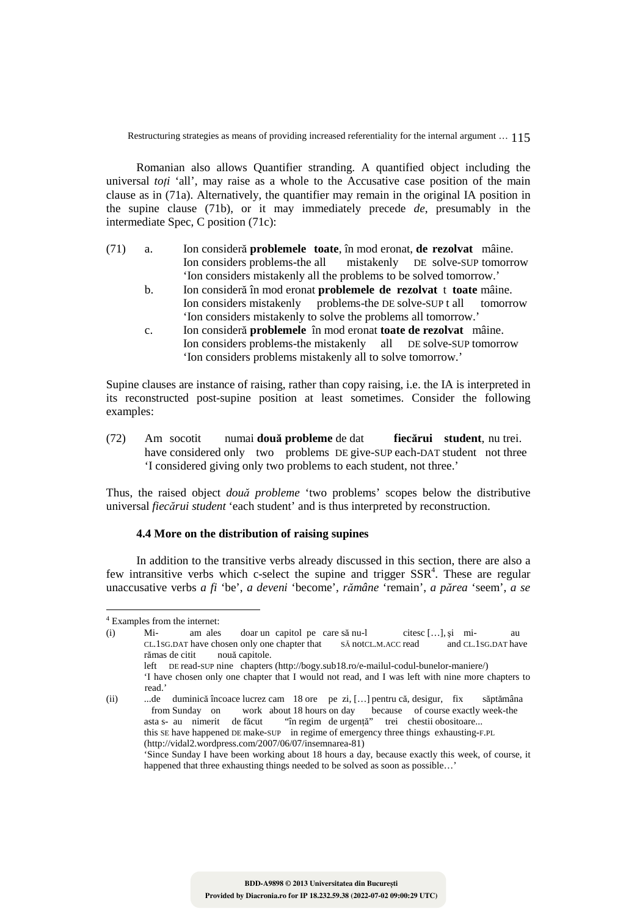Romanian also allows Quantifier stranding. A quantified object including the universal *toti* 'all', may raise as a whole to the Accusative case position of the main clause as in (71a). Alternatively, the quantifier may remain in the original IA position in the supine clause (71b), or it may immediately precede *de*, presumably in the intermediate Spec, C position (71c):

- (71) a. Ion consideră **problemele toate**, în mod eronat, **de rezolvat** mâine. Ion considers problems-the all mistakenly DE solve-SUP tomorrow 'Ion considers mistakenly all the problems to be solved tomorrow.'
	- b. Ion consideră în mod eronat **problemele de rezolvat** t **toate** mâine. Ion considers mistakenly problems-the DE solve-SUP t all tomorrow 'Ion considers mistakenly to solve the problems all tomorrow.'
	- c. Ion consideră **problemele** în mod eronat **toate de rezolvat** mâine. Ion considers problems-the mistakenly all DE solve-SUP tomorrow 'Ion considers problems mistakenly all to solve tomorrow.'

Supine clauses are instance of raising, rather than copy raising, i.e. the IA is interpreted in its reconstructed post-supine position at least sometimes. Consider the following examples:

(72) Am socotit numai **două probleme** de dat **fiecărui student**, nu trei. have considered only two problems DE give-SUP each-DAT student not three 'I considered giving only two problems to each student, not three.'

Thus, the raised object *două probleme* 'two problems' scopes below the distributive universal *fiecărui student* 'each student' and is thus interpreted by reconstruction.

# **4.4 More on the distribution of raising supines**

In addition to the transitive verbs already discussed in this section, there are also a few intransitive verbs which c-select the supine and trigger  $SSR<sup>4</sup>$ . These are regular unaccusative verbs *a fi* 'be', *a deveni* 'become', *rămâne* 'remain', *a părea* 'seem', *a se* 

 $\overline{a}$ 4 Examples from the internet:

<sup>(</sup>i) Mi- am ales doar un capitol pe care să nu-l citesc […], şi mi- au CL.1SG.DAT have chosen only one chapter that SĂ notCL.M.ACC read and CL.1SG.DAT have rămas de citit nouă capitole. left DE read-SUP nine chapters (http://bogy.sub18.ro/e-mailul-codul-bunelor-maniere/)

 <sup>&#</sup>x27;I have chosen only one chapter that I would not read, and I was left with nine more chapters to read.'

<sup>(</sup>ii) ...de duminică încoace lucrez cam 18 ore pe zi, […] pentru că, desigur, fix săptămâna from Sunday on work about 18 hours on day because of course exactly week-the stas- au nimerit de făcut "în regim de urgentă" trei chestii obositoare... asta s- au nimerit de făcut "în regim de urgenţă" trei chestii obositoare... this SE have happened DE make-SUP in regime of emergency three things exhausting-F.PL (http://vidal2.wordpress.com/2007/06/07/insemnarea-81)

 <sup>&#</sup>x27;Since Sunday I have been working about 18 hours a day, because exactly this week, of course, it happened that three exhausting things needed to be solved as soon as possible...'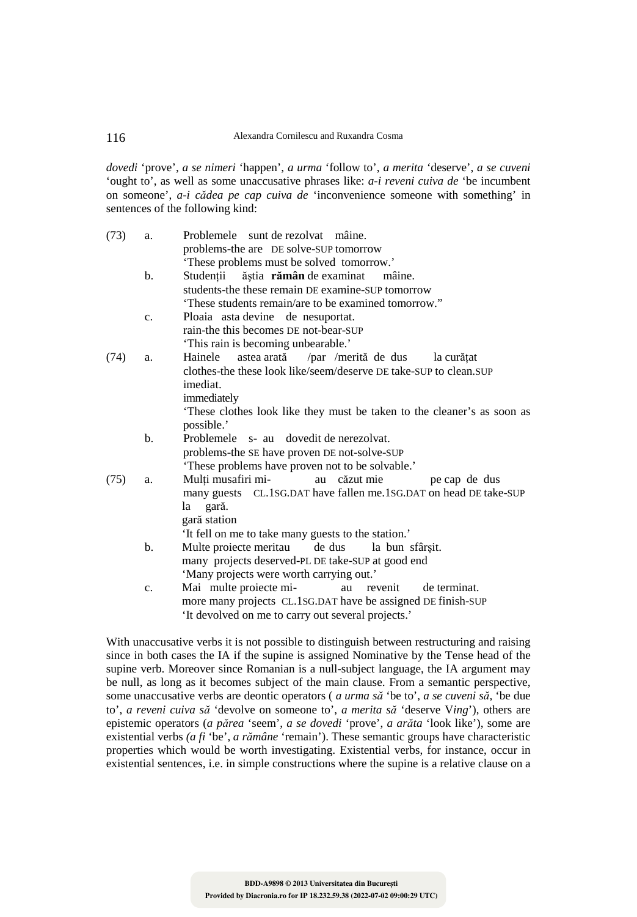*dovedi* 'prove', *a se nimeri* 'happen', *a urma* 'follow to', *a merita* 'deserve', *a se cuveni* 'ought to', as well as some unaccusative phrases like: *a-i reveni cuiva de* 'be incumbent on someone', *a-i cădea pe cap cuiva de* 'inconvenience someone with something' in sentences of the following kind:

| (73) | a.             | Problemele sunt de rezolvat mâine.<br>problems-the are DE solve-SUP tomorrow |
|------|----------------|------------------------------------------------------------------------------|
|      |                | 'These problems must be solved tomorrow.'                                    |
|      |                |                                                                              |
|      | b.             | Studenții<br>ăștia <b>rămân</b> de examinat<br>mâine.                        |
|      |                | students-the these remain DE examine-SUP tomorrow                            |
|      |                | 'These students remain/are to be examined tomorrow."                         |
|      | $C_{\bullet}$  | Ploaia asta devine de nesuportat.                                            |
|      |                | rain-the this becomes DE not-bear-SUP                                        |
|      |                | 'This rain is becoming unbearable.'                                          |
| (74) | a.             | astea arată /par /merită de dus<br>Hainele<br>la curătat                     |
|      |                | clothes-the these look like/seem/deserve DE take-SUP to clean.SUP            |
|      |                | imediat.                                                                     |
|      |                | immediately                                                                  |
|      |                | These clothes look like they must be taken to the cleaner's as soon as       |
|      |                | possible.'                                                                   |
|      | $\mathbf b$ .  | Problemele s- au dovedit de nerezolvat.                                      |
|      |                | problems-the SE have proven DE not-solve-SUP                                 |
|      |                | 'These problems have proven not to be solvable.'                             |
| (75) | a.             | Mulți musafiri mi-<br>au căzut mie<br>pe cap de dus                          |
|      |                | many guests CL.1SG.DAT have fallen me.1SG.DAT on head DE take-SUP            |
|      |                | la gară.                                                                     |
|      |                | gară station                                                                 |
|      |                | 'It fell on me to take many guests to the station.'                          |
|      | $\mathbf{b}$ . | Multe proiecte meritau<br>de dus<br>la bun sfârșit.                          |
|      |                | many projects deserved-PL DE take-SUP at good end                            |
|      |                |                                                                              |
|      |                | 'Many projects were worth carrying out.'                                     |
|      | $C_{\bullet}$  | Mai multe proiecte mi-<br>de terminat.<br>au<br>revenit                      |
|      |                | more many projects CL.1SG.DAT have be assigned DE finish-SUP                 |
|      |                | 'It devolved on me to carry out several projects'                            |

It devolved on me to carry out several projects. With unaccusative verbs it is not possible to distinguish between restructuring and raising

since in both cases the IA if the supine is assigned Nominative by the Tense head of the supine verb. Moreover since Romanian is a null-subject language, the IA argument may be null, as long as it becomes subject of the main clause. From a semantic perspective, some unaccusative verbs are deontic operators ( *a urma să* 'be to', *a se cuveni să,* 'be due to', *a reveni cuiva să* 'devolve on someone to', *a merita să* 'deserve V*ing*'), others are epistemic operators (*a părea* 'seem', *a se dovedi* 'prove', *a arăta* 'look like'), some are existential verbs *(a fi* 'be', *a rămâne* 'remain'). These semantic groups have characteristic properties which would be worth investigating. Existential verbs, for instance, occur in existential sentences, i.e. in simple constructions where the supine is a relative clause on a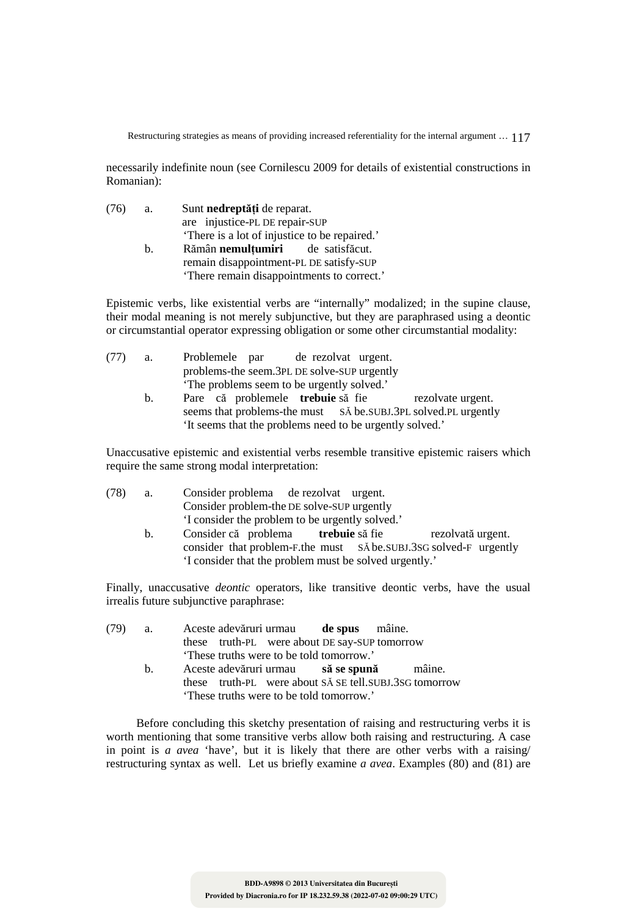necessarily indefinite noun (see Cornilescu 2009 for details of existential constructions in Romanian):

| (76) | a.          | Sunt nedreptăți de reparat.                   |  |  |
|------|-------------|-----------------------------------------------|--|--|
|      |             | are injustice-PL DE repair-SUP                |  |  |
|      |             | 'There is a lot of injustice to be repaired.' |  |  |
|      | $h_{\cdot}$ | Rămân nemulțumiri de satisfăcut.              |  |  |
|      |             | remain disappointment-PL DE satisfy-SUP       |  |  |
|      |             | 'There remain disappointments to correct.'    |  |  |

Epistemic verbs, like existential verbs are "internally" modalized; in the supine clause, their modal meaning is not merely subjunctive, but they are paraphrased using a deontic or circumstantial operator expressing obligation or some other circumstantial modality:

| (77) | a.      | Problemele par de rezolvat urgent.                             |
|------|---------|----------------------------------------------------------------|
|      |         | problems-the seem.3PL DE solve-SUP urgently                    |
|      |         | The problems seem to be urgently solved.'                      |
|      | $b_{1}$ | Pare că problemele <b>trebuie</b> să fie<br>rezolvate urgent.  |
|      |         | seems that problems-the must SA be SUBJ.3PL solved.PL urgently |
|      |         | 'It seems that the problems need to be urgently solved.'       |

Unaccusative epistemic and existential verbs resemble transitive epistemic raisers which require the same strong modal interpretation:

| (78) | а.      | Consider problema de rezolvat urgent.                             |
|------|---------|-------------------------------------------------------------------|
|      |         | Consider problem-the DE solve-SUP urgently                        |
|      |         | 'I consider the problem to be urgently solved.'                   |
|      | $b_{1}$ | Consider că problema <b>trebuie</b> să fie<br>rezolvată urgent.   |
|      |         | consider that problem-F.the must SA be.SUBJ.3SG solved-F urgently |
|      |         | 'I consider that the problem must be solved urgently.'            |

Finally, unaccusative *deontic* operators, like transitive deontic verbs, have the usual irrealis future subjunctive paraphrase:

| $(79)$ a. |  | Aceste adevăruri urmau de spus mâine.                                                             |  |  |
|-----------|--|---------------------------------------------------------------------------------------------------|--|--|
|           |  | these truth-PL were about DE say-SUP tomorrow                                                     |  |  |
|           |  | These truths were to be told tomorrow.'                                                           |  |  |
| h —       |  | Aceste adevăruri urmau să se spună mâine.                                                         |  |  |
|           |  | these truth-PL were about SA SE tell.SUBJ.3SG tomorrow<br>These truths were to be told tomorrow.' |  |  |

Before concluding this sketchy presentation of raising and restructuring verbs it is worth mentioning that some transitive verbs allow both raising and restructuring. A case in point is *a avea* 'have', but it is likely that there are other verbs with a raising/ restructuring syntax as well. Let us briefly examine *a avea*. Examples (80) and (81) are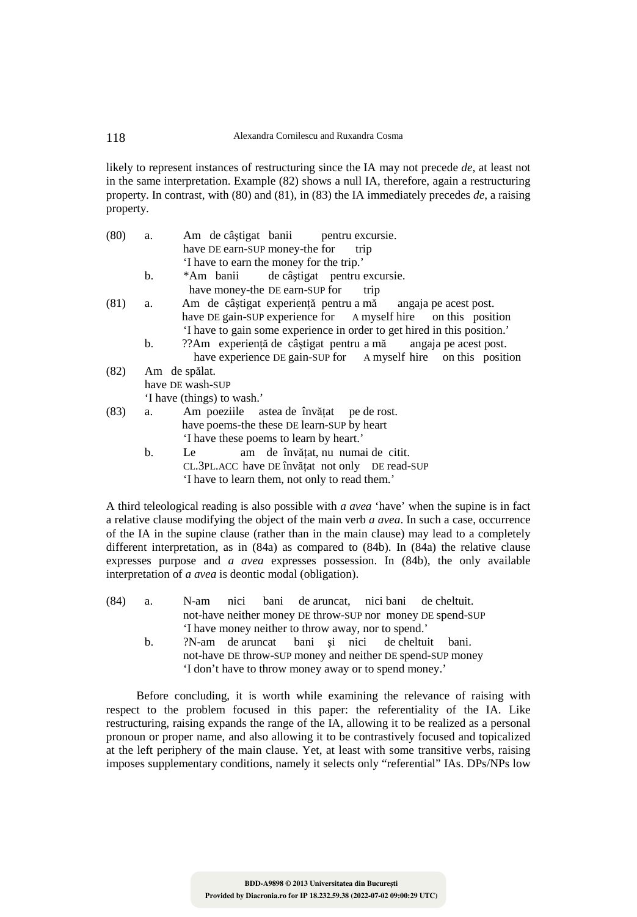likely to represent instances of restructuring since the IA may not precede *de*, at least not in the same interpretation. Example (82) shows a null IA, therefore, again a restructuring property. In contrast, with (80) and (81), in (83) the IA immediately precedes *de*, a raising property.

| (80) | a.             | Am de câștigat banii pentru excursie.                                    |  |  |  |  |  |
|------|----------------|--------------------------------------------------------------------------|--|--|--|--|--|
|      |                | have DE earn-SUP money-the for trip                                      |  |  |  |  |  |
|      |                | 'I have to earn the money for the trip.'                                 |  |  |  |  |  |
|      | $\mathbf{b}$ . | *Am banii de câștigat pentru excursie.                                   |  |  |  |  |  |
|      |                | have money-the DE earn-SUP for trip                                      |  |  |  |  |  |
| (81) | a.             | Am de câștigat experiență pentru a mă angaja pe acest post.              |  |  |  |  |  |
|      |                | have DE gain-SUP experience for A myself hire on this position           |  |  |  |  |  |
|      |                | 'I have to gain some experience in order to get hired in this position.' |  |  |  |  |  |
|      | b.             | ??Am experiență de câștigat pentru a mă angaja pe acest post.            |  |  |  |  |  |
|      |                | have experience DE gain-SUP for A myself hire on this position           |  |  |  |  |  |
| (82) |                | Am de spălat.                                                            |  |  |  |  |  |
|      |                | have DE wash-SUP                                                         |  |  |  |  |  |
|      |                | 'I have (things) to wash.'                                               |  |  |  |  |  |
| (83) | a.             | Am poeziile astea de învățat pe de rost.                                 |  |  |  |  |  |
|      |                | have poems-the these DE learn-SUP by heart                               |  |  |  |  |  |
|      |                | 'I have these poems to learn by heart.'                                  |  |  |  |  |  |
|      | b.             | am de învățat, nu numai de citit.<br>Le                                  |  |  |  |  |  |
|      |                | CL.3PL.ACC have DE învățat not only DE read-SUP                          |  |  |  |  |  |
|      |                | 'I have to learn them, not only to read them.'                           |  |  |  |  |  |

A third teleological reading is also possible with *a avea* 'have' when the supine is in fact a relative clause modifying the object of the main verb *a avea*. In such a case, occurrence of the IA in the supine clause (rather than in the main clause) may lead to a completely different interpretation, as in (84a) as compared to (84b). In (84a) the relative clause expresses purpose and *a avea* expresses possession. In (84b), the only available interpretation of *a avea* is deontic modal (obligation).

- (84) a. N-am nici bani de aruncat, nici bani de cheltuit. not-have neither money DE throw-SUP nor money DE spend-SUP 'I have money neither to throw away, nor to spend.'
	- b. ?N-am de aruncat bani şi nici de cheltuit bani. not-have DE throw-SUP money and neither DE spend-SUP money 'I don't have to throw money away or to spend money.'

Before concluding, it is worth while examining the relevance of raising with respect to the problem focused in this paper: the referentiality of the IA. Like restructuring, raising expands the range of the IA, allowing it to be realized as a personal pronoun or proper name, and also allowing it to be contrastively focused and topicalized at the left periphery of the main clause. Yet, at least with some transitive verbs, raising imposes supplementary conditions, namely it selects only "referential" IAs. DPs/NPs low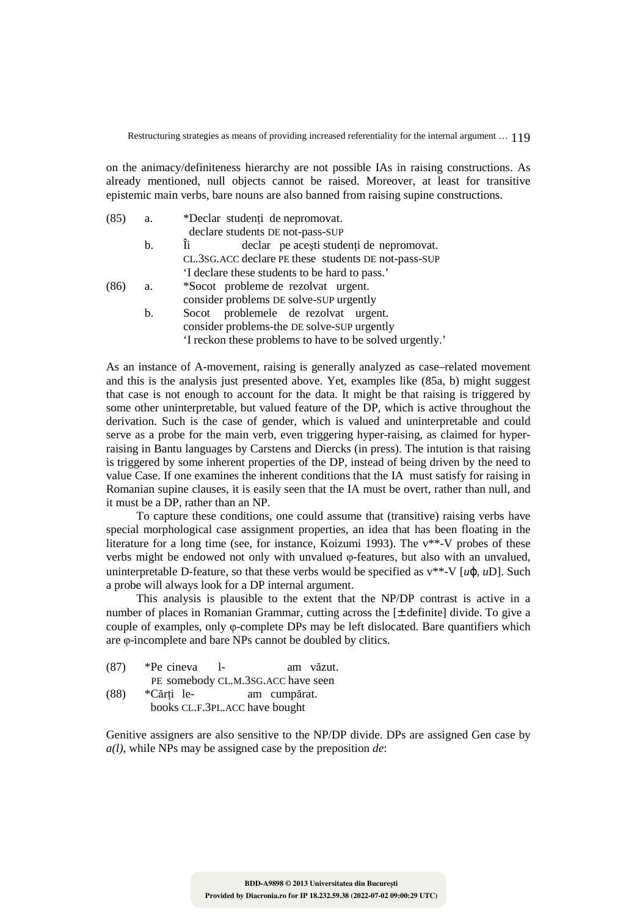on the animacy/definiteness hierarchy are not possible IAs in raising constructions. As already mentioned, null objects cannot be raised. Moreover, at least for transitive epistemic main verbs, bare nouns are also banned from raising supine constructions.

| (85) | a.             | *Declar studenți de nepromovat.                          |
|------|----------------|----------------------------------------------------------|
|      |                | declare students DE not-pass-SUP                         |
|      | b.             | Ïi<br>declar pe acești studenți de nepromovat.           |
|      |                | CL.3SG.ACC declare PE these students DE not-pass-SUP     |
|      |                | If declare these students to be hard to pass.            |
| (86) | a.             | *Socot probleme de rezolvat urgent.                      |
|      |                | consider problems DE solve-SUP urgently                  |
|      | $\mathbf{b}$ . | Socot problemele de rezolvat urgent.                     |
|      |                | consider problems-the DE solve-SUP urgently              |
|      |                | 'I reckon these problems to have to be solved urgently.' |

As an instance of A-movement, raising is generally analyzed as case–related movement and this is the analysis just presented above. Yet, examples like (85a, b) might suggest that case is not enough to account for the data. It might be that raising is triggered by some other uninterpretable, but valued feature of the DP, which is active throughout the derivation. Such is the case of gender, which is valued and uninterpretable and could serve as a probe for the main verb, even triggering hyper-raising, as claimed for hyperraising in Bantu languages by Carstens and Diercks (in press). The intution is that raising is triggered by some inherent properties of the DP, instead of being driven by the need to value Case. If one examines the inherent conditions that the IA must satisfy for raising in Romanian supine clauses, it is easily seen that the IA must be overt, rather than null, and it must be a DP, rather than an NP.

To capture these conditions, one could assume that (transitive) raising verbs have special morphological case assignment properties, an idea that has been floating in the literature for a long time (see, for instance, Koizumi 1993). The v\*\*-V probes of these verbs might be endowed not only with unvalued φ-features, but also with an unvalued, uninterpretable D-feature, so that these verbs would be specified as v\*\*-V [*u*ϕ, *u*D]. Such a probe will always look for a DP internal argument.

This analysis is plausible to the extent that the NP/DP contrast is active in a number of places in Romanian Grammar, cutting across the [± definite] divide. To give a couple of examples, only φ-complete DPs may be left dislocated. Bare quantifiers which are φ-incomplete and bare NPs cannot be doubled by clitics.

| (87) | $\text{*}$ Pe cineva l-            |  | am văzut. |
|------|------------------------------------|--|-----------|
|      | PE somebody CL.M.3SG.ACC have seen |  |           |

(88) \*Cărţi le- am cumpărat. books CL.F.3PL.ACC have bought

Genitive assigners are also sensitive to the NP/DP divide. DPs are assigned Gen case by *a(l)*, while NPs may be assigned case by the preposition *de*: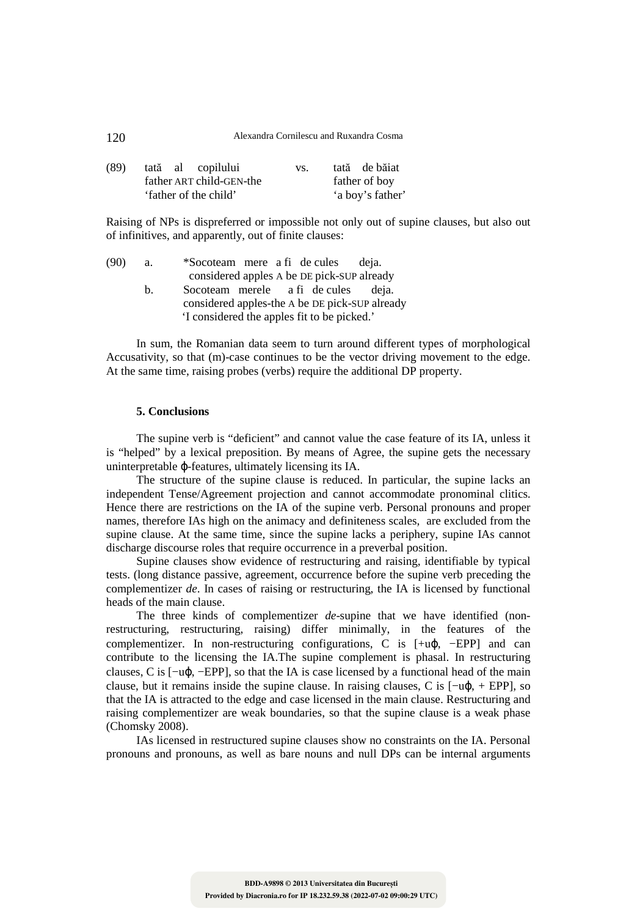| (89) |                          |  | tată al copilului     | VS. |               | tată de băiat    |
|------|--------------------------|--|-----------------------|-----|---------------|------------------|
|      | father ART child-GEN-the |  |                       |     | father of boy |                  |
|      |                          |  | 'father of the child' |     |               | 'a boy's father' |

Raising of NPs is dispreferred or impossible not only out of supine clauses, but also out of infinitives, and apparently, out of finite clauses:

(90) a. \*Socoteam mere a fi de cules deja. considered apples A be DE pick-SUP already b. Socoteam merele a fi de cules deja. considered apples-the A be DE pick-SUP already 'I considered the apples fit to be picked.'

In sum, the Romanian data seem to turn around different types of morphological Accusativity, so that (m)-case continues to be the vector driving movement to the edge. At the same time, raising probes (verbs) require the additional DP property.

### **5. Conclusions**

The supine verb is "deficient" and cannot value the case feature of its IA, unless it is "helped" by a lexical preposition. By means of Agree, the supine gets the necessary uninterpretable ϕ-features, ultimately licensing its IA.

The structure of the supine clause is reduced. In particular, the supine lacks an independent Tense/Agreement projection and cannot accommodate pronominal clitics. Hence there are restrictions on the IA of the supine verb. Personal pronouns and proper names, therefore IAs high on the animacy and definiteness scales, are excluded from the supine clause. At the same time, since the supine lacks a periphery, supine IAs cannot discharge discourse roles that require occurrence in a preverbal position.

Supine clauses show evidence of restructuring and raising, identifiable by typical tests. (long distance passive, agreement, occurrence before the supine verb preceding the complementizer *de*. In cases of raising or restructuring, the IA is licensed by functional heads of the main clause.

The three kinds of complementizer *de*-supine that we have identified (nonrestructuring, restructuring, raising) differ minimally, in the features of the complementizer. In non-restructuring configurations, C is [+uϕ, −EPP] and can contribute to the licensing the IA.The supine complement is phasal. In restructuring clauses, C is [−uϕ, −EPP], so that the IA is case licensed by a functional head of the main clause, but it remains inside the supine clause. In raising clauses, C is [−uϕ, + EPP], so that the IA is attracted to the edge and case licensed in the main clause. Restructuring and raising complementizer are weak boundaries, so that the supine clause is a weak phase (Chomsky 2008).

IAs licensed in restructured supine clauses show no constraints on the IA. Personal pronouns and pronouns, as well as bare nouns and null DPs can be internal arguments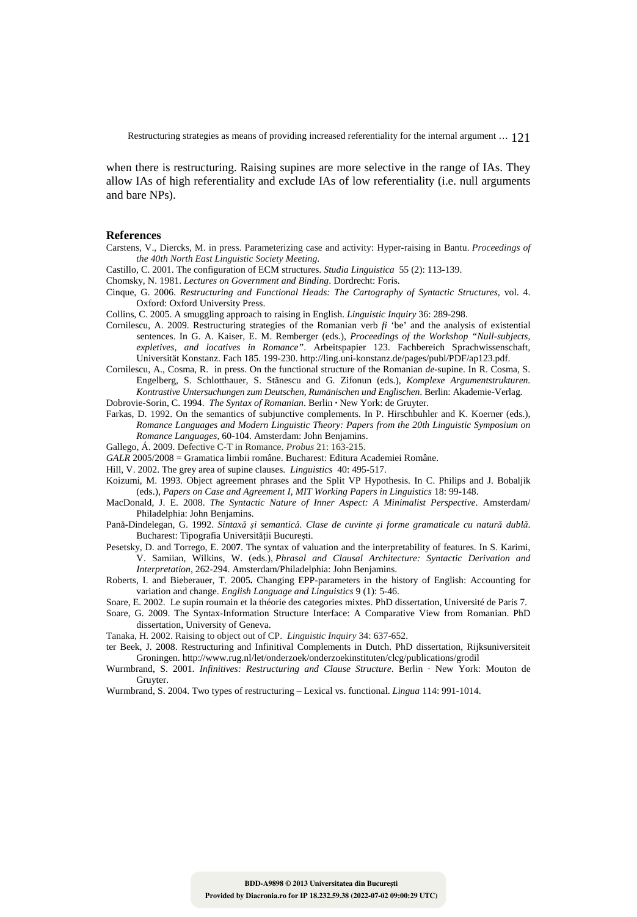when there is restructuring. Raising supines are more selective in the range of IAs. They allow IAs of high referentiality and exclude IAs of low referentiality (i.e. null arguments and bare NPs).

#### **References**

- Carstens, V., Diercks, M. in press. Parameterizing case and activity: Hyper-raising in Bantu. *Proceedings of the 40th North East Linguistic Society Meeting*.
- Castillo, C. 2001. The configuration of ECM structures. *Studia Linguistica* 55 (2): 113-139.
- Chomsky, N. 1981. *Lectures on Government and Binding*. Dordrecht: Foris.
- Cinque, G. 2006. *Restructuring and Functional Heads: The Cartography of Syntactic Structures*, vol. 4. Oxford: Oxford University Press.
- Collins, C. 2005. A smuggling approach to raising in English. *Linguistic Inquiry* 36: 289-298.
- Cornilescu, A. 2009. Restructuring strategies of the Romanian verb *fi* 'be' and the analysis of existential sentences. In G. A. Kaiser, E. M. Remberger (eds.), *Proceedings of the Workshop "Null-subjects, expletives, and locatives in Romance"*. Arbeitspapier 123. Fachbereich Sprachwissenschaft, Universität Konstanz. Fach 185. 199-230. http://ling.uni-konstanz.de/pages/publ/PDF/ap123.pdf.
- Cornilescu, A., Cosma, R. in press. On the functional structure of the Romanian *de*-supine. In R. Cosma, S. Engelberg, S. Schlotthauer, S. Stănescu and G. Zifonun (eds.), *Komplexe Argumentstrukturen. Kontrastive Untersuchungen zum Deutschen, Rumänischen und Englischen*. Berlin: Akademie-Verlag. Dobrovie-Sorin, C. 1994. *The Syntax of Romanian*. Berlin **·** New York: de Gruyter.
- Farkas, D. 1992. On the semantics of subjunctive complements. In P. Hirschbuhler and K. Koerner (eds.), *Romance Languages and Modern Linguistic Theory: Papers from the 20th Linguistic Symposium on Romance Languages*, 60-104. Amsterdam: John Benjamins.
- Gallego, Á. 2009. Defective C-T in Romance. *Probus* 21: 163-215.
- *GALR* 2005/2008 = Gramatica limbii române. Bucharest: Editura Academiei Române.
- Hill, V. 2002. The grey area of supine clauses. *Linguistics* 40: 495-517.
- Koizumi, M. 1993. Object agreement phrases and the Split VP Hypothesis. In C. Philips and J. Bobaljik (eds.), *Papers on Case and Agreement I*, *MIT Working Papers in Linguistics* 18: 99-148.
- MacDonald, J. E. 2008. *The Syntactic Nature of Inner Aspect: A Minimalist Perspective*. Amsterdam/ Philadelphia: John Benjamins.
- Pană-Dindelegan, G. 1992. *Sintaxă şi semantică. Clase de cuvinte şi forme gramaticale cu natură dublă*. Bucharest: Tipografia Universității București.
- Pesetsky, D. and Torrego, E. 200**7**. The syntax of valuation and the interpretability of features. In S. Karimi, V. Samiian, Wilkins, W. (eds.), *Phrasal and Clausal Architecture: Syntactic Derivation and Interpretation*, 262-294. Amsterdam/Philadelphia: John Benjamins.
- Roberts, I. and Bieberauer, T. 2005**.** Changing EPP-parameters in the history of English: Accounting for variation and change. *English Language and Linguistics* 9 (1): 5-46.
- Soare, E. 2002. Le supin roumain et la théorie des categories mixtes. PhD dissertation, Université de Paris 7.
- Soare, G. 2009. The Syntax-Information Structure Interface: A Comparative View from Romanian. PhD dissertation, University of Geneva.

Tanaka, H. 2002. Raising to object out of CP. *Linguistic Inquiry* 34: 637-652.

- ter Beek, J. 2008. Restructuring and Infinitival Complements in Dutch. PhD dissertation, Rijksuniversiteit Groningen. http://www.rug.nl/let/onderzoek/onderzoekinstituten/clcg/publications/grodil
- Wurmbrand, S. 2001. *Infinitives: Restructuring and Clause Structure*. Berlin · New York: Mouton de Gruyter.
- Wurmbrand, S. 2004. Two types of restructuring Lexical vs. functional. *Lingua* 114: 991-1014.